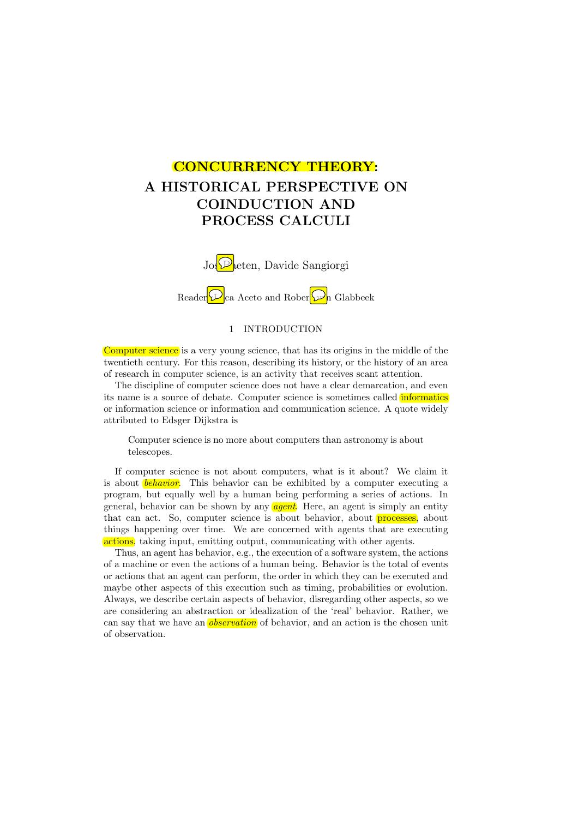# CONCURRENCY THEORY:

# A HISTORICAL PERSPECTIVE ON COINDUCTION AND PROCESS CALCULI



# 1 INTRODUCTION

Computer science is a very young science, that has its origins in the middle of the twentieth century. For this reason, describing its history, or the history of an area of research in computer science, is an activity that receives scant attention.

The discipline of computer science does not have a clear demarcation, and even its name is a source of debate. Computer science is sometimes called informatics or information science or information and communication science. A quote widely attributed to Edsger Dijkstra is

Computer science is no more about computers than astronomy is about telescopes.

If computer science is not about computers, what is it about? We claim it is about **behavior**. This behavior can be exhibited by a computer executing a program, but equally well by a human being performing a series of actions. In general, behavior can be shown by any *agent*. Here, an agent is simply an entity that can act. So, computer science is about behavior, about processes, about things happening over time. We are concerned with agents that are executing actions, taking input, emitting output, communicating with other agents.

Thus, an agent has behavior, e.g., the execution of a software system, the actions of a machine or even the actions of a human being. Behavior is the total of events or actions that an agent can perform, the order in which they can be executed and maybe other aspects of this execution such as timing, probabilities or evolution. Always, we describe certain aspects of behavior, disregarding other aspects, so we are considering an abstraction or idealization of the 'real' behavior. Rather, we can say that we have an *observation* of behavior, and an action is the chosen unit of observation.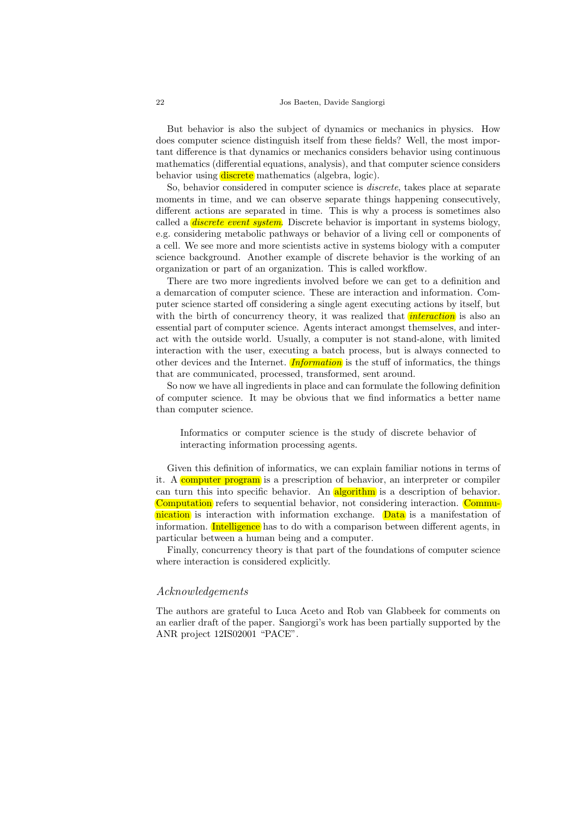But behavior is also the subject of dynamics or mechanics in physics. How does computer science distinguish itself from these fields? Well, the most important difference is that dynamics or mechanics considers behavior using continuous mathematics (differential equations, analysis), and that computer science considers behavior using discrete mathematics (algebra, logic).

So, behavior considered in computer science is discrete, takes place at separate moments in time, and we can observe separate things happening consecutively, different actions are separated in time. This is why a process is sometimes also called a *discrete event system*. Discrete behavior is important in systems biology, e.g. considering metabolic pathways or behavior of a living cell or components of a cell. We see more and more scientists active in systems biology with a computer science background. Another example of discrete behavior is the working of an organization or part of an organization. This is called workflow.

There are two more ingredients involved before we can get to a definition and a demarcation of computer science. These are interaction and information. Computer science started off considering a single agent executing actions by itself, but with the birth of concurrency theory, it was realized that *interaction* is also an essential part of computer science. Agents interact amongst themselves, and interact with the outside world. Usually, a computer is not stand-alone, with limited interaction with the user, executing a batch process, but is always connected to other devices and the Internet. **Information** is the stuff of informatics, the things that are communicated, processed, transformed, sent around.

So now we have all ingredients in place and can formulate the following definition of computer science. It may be obvious that we find informatics a better name than computer science.

Informatics or computer science is the study of discrete behavior of interacting information processing agents.

Given this definition of informatics, we can explain familiar notions in terms of it. A computer program is a prescription of behavior, an interpreter or compiler can turn this into specific behavior. An **algorithm** is a description of behavior. Computation refers to sequential behavior, not considering interaction. Communication is interaction with information exchange. Data is a manifestation of information. Intelligence has to do with a comparison between different agents, in particular between a human being and a computer.

Finally, concurrency theory is that part of the foundations of computer science where interaction is considered explicitly.

# Acknowledgements

The authors are grateful to Luca Aceto and Rob van Glabbeek for comments on an earlier draft of the paper. Sangiorgi's work has been partially supported by the ANR project 12IS02001 "PACE".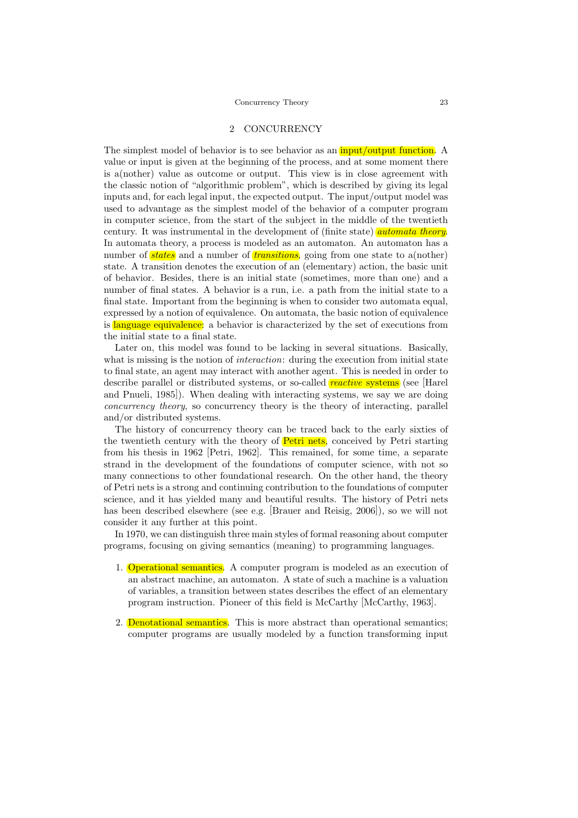#### Concurrency Theory 23

#### 2 CONCURRENCY

The simplest model of behavior is to see behavior as an *input/output function*. A value or input is given at the beginning of the process, and at some moment there is a(nother) value as outcome or output. This view is in close agreement with the classic notion of "algorithmic problem", which is described by giving its legal inputs and, for each legal input, the expected output. The input/output model was used to advantage as the simplest model of the behavior of a computer program in computer science, from the start of the subject in the middle of the twentieth century. It was instrumental in the development of (finite state) *automata theory*. In automata theory, a process is modeled as an automaton. An automaton has a number of *states* and a number of *transitions*, going from one state to a (nother) state. A transition denotes the execution of an (elementary) action, the basic unit of behavior. Besides, there is an initial state (sometimes, more than one) and a number of final states. A behavior is a run, i.e. a path from the initial state to a final state. Important from the beginning is when to consider two automata equal, expressed by a notion of equivalence. On automata, the basic notion of equivalence is language equivalence: a behavior is characterized by the set of executions from the initial state to a final state.

Later on, this model was found to be lacking in several situations. Basically, what is missing is the notion of *interaction*: during the execution from initial state to final state, an agent may interact with another agent. This is needed in order to describe parallel or distributed systems, or so-called *reactive* systems (see Harel and Pnueli, 1985]). When dealing with interacting systems, we say we are doing concurrency theory, so concurrency theory is the theory of interacting, parallel and/or distributed systems.

The history of concurrency theory can be traced back to the early sixties of the twentieth century with the theory of **Petri nets**, conceived by Petri starting from his thesis in 1962 [Petri, 1962]. This remained, for some time, a separate strand in the development of the foundations of computer science, with not so many connections to other foundational research. On the other hand, the theory of Petri nets is a strong and continuing contribution to the foundations of computer science, and it has yielded many and beautiful results. The history of Petri nets has been described elsewhere (see e.g. [Brauer and Reisig, 2006]), so we will not consider it any further at this point.

In 1970, we can distinguish three main styles of formal reasoning about computer programs, focusing on giving semantics (meaning) to programming languages.

- 1. **Operational semantics.** A computer program is modeled as an execution of an abstract machine, an automaton. A state of such a machine is a valuation of variables, a transition between states describes the effect of an elementary program instruction. Pioneer of this field is McCarthy [McCarthy, 1963].
- 2. **Denotational semantics.** This is more abstract than operational semantics; computer programs are usually modeled by a function transforming input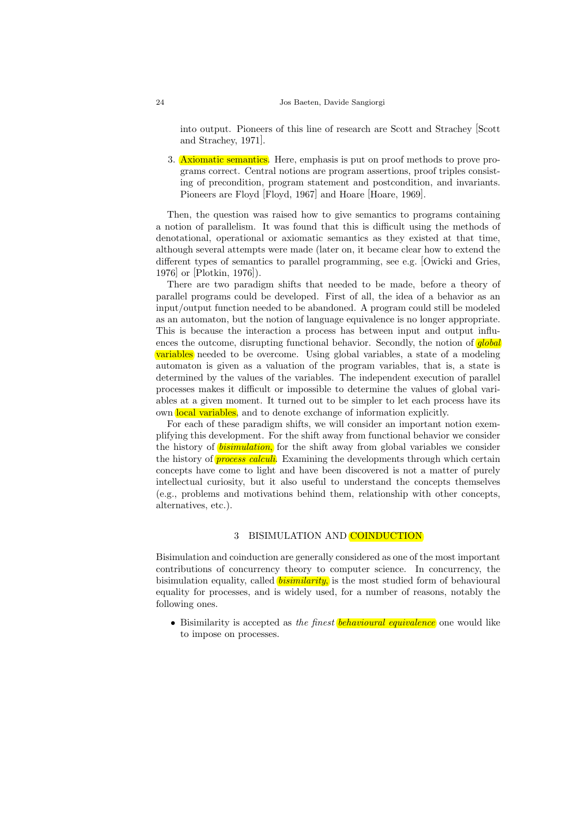#### 24 Jos Baeten, Davide Sangiorgi

into output. Pioneers of this line of research are Scott and Strachey [Scott and Strachey, 1971].

3. Axiomatic semantics. Here, emphasis is put on proof methods to prove programs correct. Central notions are program assertions, proof triples consisting of precondition, program statement and postcondition, and invariants. Pioneers are Floyd [Floyd, 1967] and Hoare [Hoare, 1969].

Then, the question was raised how to give semantics to programs containing a notion of parallelism. It was found that this is difficult using the methods of denotational, operational or axiomatic semantics as they existed at that time, although several attempts were made (later on, it became clear how to extend the different types of semantics to parallel programming, see e.g. [Owicki and Gries, 1976] or [Plotkin, 1976]).

There are two paradigm shifts that needed to be made, before a theory of parallel programs could be developed. First of all, the idea of a behavior as an input/output function needed to be abandoned. A program could still be modeled as an automaton, but the notion of language equivalence is no longer appropriate. This is because the interaction a process has between input and output influences the outcome, disrupting functional behavior. Secondly, the notion of *global* **variables** needed to be overcome. Using global variables, a state of a modeling automaton is given as a valuation of the program variables, that is, a state is determined by the values of the variables. The independent execution of parallel processes makes it difficult or impossible to determine the values of global variables at a given moment. It turned out to be simpler to let each process have its own local variables, and to denote exchange of information explicitly.

For each of these paradigm shifts, we will consider an important notion exemplifying this development. For the shift away from functional behavior we consider the history of *bisimulation*, for the shift away from global variables we consider the history of *process calculi*. Examining the developments through which certain concepts have come to light and have been discovered is not a matter of purely intellectual curiosity, but it also useful to understand the concepts themselves (e.g., problems and motivations behind them, relationship with other concepts, alternatives, etc.).

# 3 BISIMULATION AND COINDUCTION

Bisimulation and coinduction are generally considered as one of the most important contributions of concurrency theory to computer science. In concurrency, the bisimulation equality, called *bisimilarity*, is the most studied form of behavioural equality for processes, and is widely used, for a number of reasons, notably the following ones.

• Bisimilarity is accepted as the finest **behavioural equivalence** one would like to impose on processes.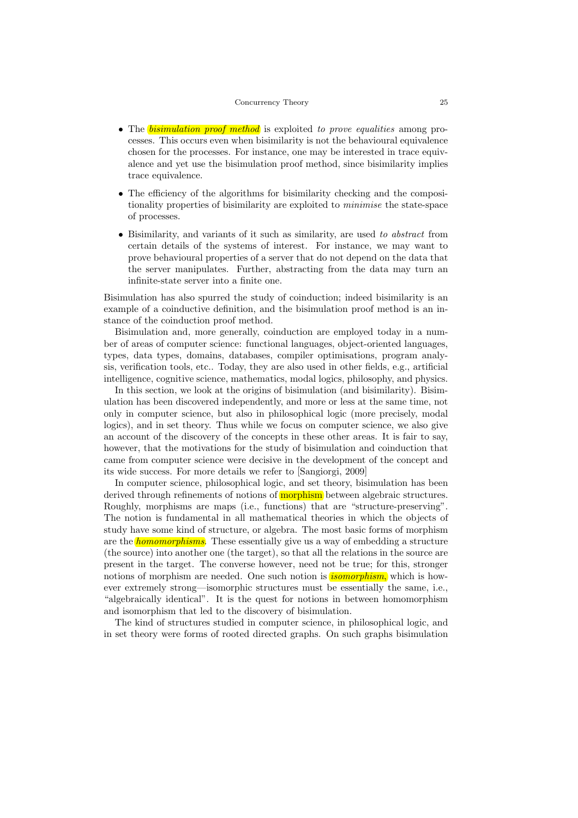- The *bisimulation proof method* is exploited to prove equalities among processes. This occurs even when bisimilarity is not the behavioural equivalence chosen for the processes. For instance, one may be interested in trace equivalence and yet use the bisimulation proof method, since bisimilarity implies trace equivalence.
- The efficiency of the algorithms for bisimilarity checking and the compositionality properties of bisimilarity are exploited to minimise the state-space of processes.
- Bisimilarity, and variants of it such as similarity, are used to abstract from certain details of the systems of interest. For instance, we may want to prove behavioural properties of a server that do not depend on the data that the server manipulates. Further, abstracting from the data may turn an infinite-state server into a finite one.

Bisimulation has also spurred the study of coinduction; indeed bisimilarity is an example of a coinductive definition, and the bisimulation proof method is an instance of the coinduction proof method.

Bisimulation and, more generally, coinduction are employed today in a number of areas of computer science: functional languages, object-oriented languages, types, data types, domains, databases, compiler optimisations, program analysis, verification tools, etc.. Today, they are also used in other fields, e.g., artificial intelligence, cognitive science, mathematics, modal logics, philosophy, and physics.

In this section, we look at the origins of bisimulation (and bisimilarity). Bisimulation has been discovered independently, and more or less at the same time, not only in computer science, but also in philosophical logic (more precisely, modal logics), and in set theory. Thus while we focus on computer science, we also give an account of the discovery of the concepts in these other areas. It is fair to say, however, that the motivations for the study of bisimulation and coinduction that came from computer science were decisive in the development of the concept and its wide success. For more details we refer to [Sangiorgi, 2009]

In computer science, philosophical logic, and set theory, bisimulation has been derived through refinements of notions of **morphism** between algebraic structures. Roughly, morphisms are maps (i.e., functions) that are "structure-preserving". The notion is fundamental in all mathematical theories in which the objects of study have some kind of structure, or algebra. The most basic forms of morphism are the *homomorphisms*. These essentially give us a way of embedding a structure (the source) into another one (the target), so that all the relations in the source are present in the target. The converse however, need not be true; for this, stronger notions of morphism are needed. One such notion is  $isomorphism$ , which is however extremely strong—isomorphic structures must be essentially the same, i.e., "algebraically identical". It is the quest for notions in between homomorphism and isomorphism that led to the discovery of bisimulation.

The kind of structures studied in computer science, in philosophical logic, and in set theory were forms of rooted directed graphs. On such graphs bisimulation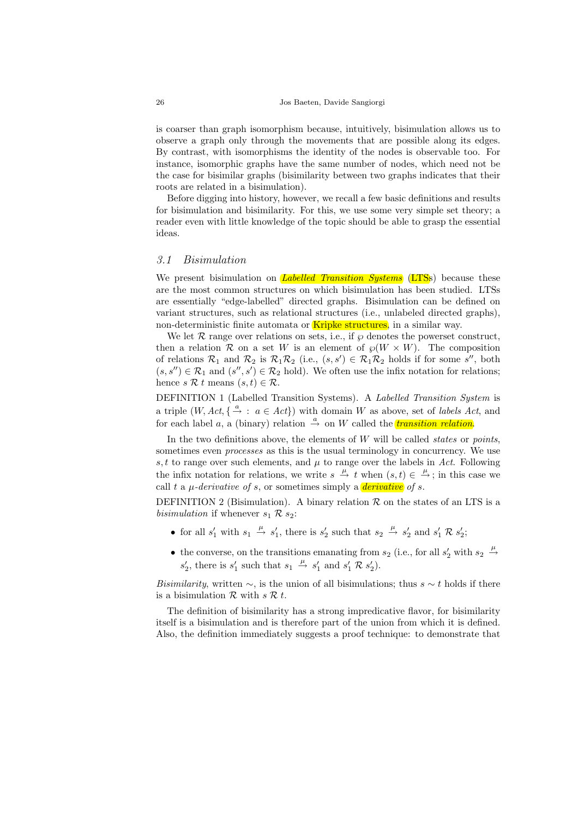is coarser than graph isomorphism because, intuitively, bisimulation allows us to observe a graph only through the movements that are possible along its edges. By contrast, with isomorphisms the identity of the nodes is observable too. For instance, isomorphic graphs have the same number of nodes, which need not be the case for bisimilar graphs (bisimilarity between two graphs indicates that their roots are related in a bisimulation).

Before digging into history, however, we recall a few basic definitions and results for bisimulation and bisimilarity. For this, we use some very simple set theory; a reader even with little knowledge of the topic should be able to grasp the essential ideas.

# 3.1 Bisimulation

We present bisimulation on *Labelled Transition Systems* (LTSs) because these are the most common structures on which bisimulation has been studied. LTSs are essentially "edge-labelled" directed graphs. Bisimulation can be defined on variant structures, such as relational structures (i.e., unlabeled directed graphs), non-deterministic finite automata or **Kripke structures**, in a similar way.

We let  $\mathcal R$  range over relations on sets, i.e., if  $\varphi$  denotes the powerset construct, then a relation R on a set W is an element of  $\mathcal{P}(W \times W)$ . The composition of relations  $\mathcal{R}_1$  and  $\mathcal{R}_2$  is  $\mathcal{R}_1\mathcal{R}_2$  (i.e.,  $(s, s') \in \mathcal{R}_1\mathcal{R}_2$  holds if for some s'', both  $(s, s'') \in \mathcal{R}_1$  and  $(s'', s') \in \mathcal{R}_2$  hold). We often use the infix notation for relations; hence  $s \mathcal{R} t$  means  $(s,t) \in \mathcal{R}$ .

DEFINITION 1 (Labelled Transition Systems). A Labelled Transition System is a triple  $(W, Act, \{ \stackrel{a}{\rightarrow} : a \in Act \})$  with domain W as above, set of *labels Act*, and for each label a, a (binary) relation  $\stackrel{a}{\rightarrow}$  on W called the *transition relation*.

In the two definitions above, the elements of  $W$  will be called *states* or *points*, sometimes even *processes* as this is the usual terminology in concurrency. We use s,t to range over such elements, and  $\mu$  to range over the labels in Act. Following the infix notation for relations, we write  $s \stackrel{\mu}{\to} t$  when  $(s,t) \in \stackrel{\mu}{\to}$ ; in this case we call t a  $\mu$ -derivative of s, or sometimes simply a *derivative* of s.

DEFINITION 2 (Bisimulation). A binary relation  $R$  on the states of an LTS is a *bisimulation* if whenever  $s_1 \mathcal{R} s_2$ :

- for all  $s'_1$  with  $s_1 \stackrel{\mu}{\rightarrow} s'_1$ , there is  $s'_2$  such that  $s_2 \stackrel{\mu}{\rightarrow} s'_2$  and  $s'_1 \stackrel{\mu}{\rightarrow} s'_2$ ;
- the converse, on the transitions emanating from  $s_2$  (i.e., for all  $s_2'$  with  $s_2 \stackrel{\mu}{\rightarrow}$  $s'_2$ , there is  $s'_1$  such that  $s_1 \stackrel{\mu}{\rightarrow} s'_1$  and  $s'_1 \mathcal{R} s'_2$ .

Bisimilarity, written  $\sim$ , is the union of all bisimulations; thus s  $\sim t$  holds if there is a bisimulation  $R$  with  $s R t$ .

The definition of bisimilarity has a strong impredicative flavor, for bisimilarity itself is a bisimulation and is therefore part of the union from which it is defined. Also, the definition immediately suggests a proof technique: to demonstrate that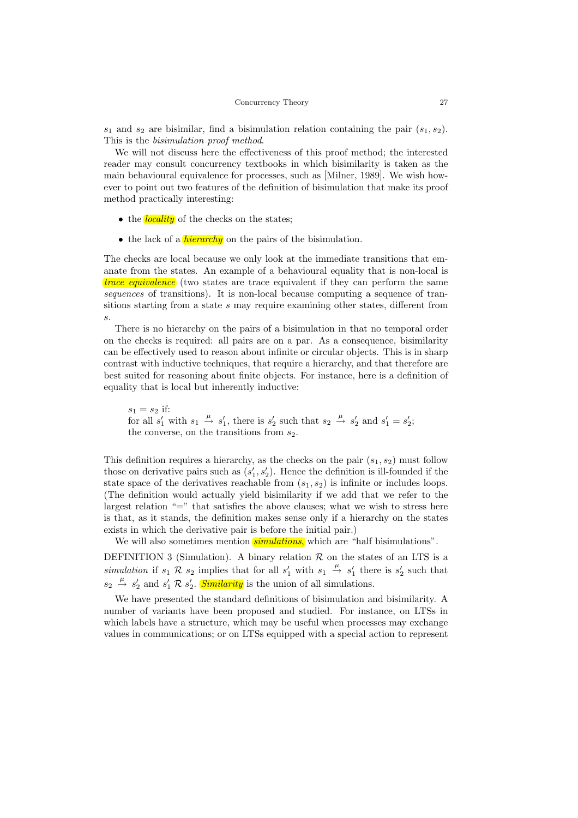$s_1$  and  $s_2$  are bisimilar, find a bisimulation relation containing the pair  $(s_1, s_2)$ . This is the bisimulation proof method.

We will not discuss here the effectiveness of this proof method; the interested reader may consult concurrency textbooks in which bisimilarity is taken as the main behavioural equivalence for processes, such as [Milner, 1989]. We wish however to point out two features of the definition of bisimulation that make its proof method practically interesting:

- $\bullet$  the *locality* of the checks on the states;
- $\bullet$  the lack of a *hierarchy* on the pairs of the bisimulation.

The checks are local because we only look at the immediate transitions that emanate from the states. An example of a behavioural equality that is non-local is trace equivalence (two states are trace equivalent if they can perform the same sequences of transitions). It is non-local because computing a sequence of transitions starting from a state s may require examining other states, different from s.

There is no hierarchy on the pairs of a bisimulation in that no temporal order on the checks is required: all pairs are on a par. As a consequence, bisimilarity can be effectively used to reason about infinite or circular objects. This is in sharp contrast with inductive techniques, that require a hierarchy, and that therefore are best suited for reasoning about finite objects. For instance, here is a definition of equality that is local but inherently inductive:

 $s_1 = s_2$  if: for all  $s'_1$  with  $s_1 \stackrel{\mu}{\rightarrow} s'_1$ , there is  $s'_2$  such that  $s_2 \stackrel{\mu}{\rightarrow} s'_2$  and  $s'_1 = s'_2$ ; the converse, on the transitions from  $s_2$ .

This definition requires a hierarchy, as the checks on the pair  $(s_1, s_2)$  must follow those on derivative pairs such as  $(s'_1, s'_2)$ . Hence the definition is ill-founded if the state space of the derivatives reachable from  $(s_1, s_2)$  is infinite or includes loops. (The definition would actually yield bisimilarity if we add that we refer to the largest relation "=" that satisfies the above clauses; what we wish to stress here is that, as it stands, the definition makes sense only if a hierarchy on the states exists in which the derivative pair is before the initial pair.)

We will also sometimes mention *simulations*, which are "half bisimulations".

DEFINITION 3 (Simulation). A binary relation  $R$  on the states of an LTS is a simulation if  $s_1 \mathcal{R} s_2$  implies that for all  $s'_1$  with  $s_1 \stackrel{\mu}{\rightarrow} s'_1$  there is  $s'_2$  such that  $s_2 \stackrel{\mu}{\rightarrow} s'_2$  and  $s'_1 \mathcal{R} s'_2$ . Similarity is the union of all simulations.

We have presented the standard definitions of bisimulation and bisimilarity. A number of variants have been proposed and studied. For instance, on LTSs in which labels have a structure, which may be useful when processes may exchange values in communications; or on LTSs equipped with a special action to represent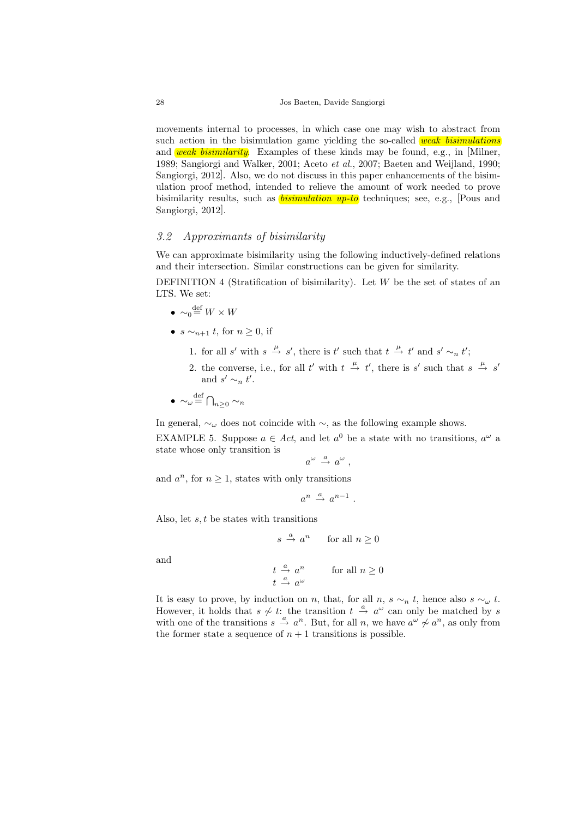movements internal to processes, in which case one may wish to abstract from such action in the bisimulation game yielding the so-called *weak bisimulations* and **weak bisimilarity**. Examples of these kinds may be found, e.g., in [Milner, 1989; Sangiorgi and Walker, 2001; Aceto et al., 2007; Baeten and Weijland, 1990; Sangiorgi, 2012]. Also, we do not discuss in this paper enhancements of the bisimulation proof method, intended to relieve the amount of work needed to prove bisimilarity results, such as **bisimulation up-to** techniques; see, e.g., [Pous and Sangiorgi, 2012].

# 3.2 Approximants of bisimilarity

We can approximate bisimilarity using the following inductively-defined relations and their intersection. Similar constructions can be given for similarity.

DEFINITION 4 (Stratification of bisimilarity). Let  $W$  be the set of states of an LTS. We set:

- $\bullet \sim_0^{\text{def}} W \times W$
- $s \sim_{n+1} t$ , for  $n \geq 0$ , if
	- 1. for all s' with  $s \stackrel{\mu}{\rightarrow} s'$ , there is t' such that  $t \stackrel{\mu}{\rightarrow} t'$  and  $s' \sim_n t'$ ;
	- 2. the converse, i.e., for all t' with  $t \stackrel{\mu}{\rightarrow} t'$ , there is s' such that  $s \stackrel{\mu}{\rightarrow} s'$ and  $s' \sim_n t'$ .

$$
\bullet \ \sim_\omega \stackrel{\text{def}}{=} \bigcap_{n \geq 0} \sim_n
$$

In general,  $\sim_\omega$  does not coincide with  $\sim$ , as the following example shows.

EXAMPLE 5. Suppose  $a \in Act$ , and let  $a^0$  be a state with no transitions,  $a^{\omega}$  a state whose only transition is

$$
a^{\omega} \stackrel{a}{\rightarrow} a^{\omega} ,
$$

and  $a^n$ , for  $n \geq 1$ , states with only transitions

$$
a^n \stackrel{a}{\rightarrow} a^{n-1} .
$$

Also, let  $s, t$  be states with transitions

$$
s \stackrel{a}{\to} a^n \qquad \text{for all } n \ge 0
$$

and

 $t \stackrel{a}{\rightarrow} a^n$  for all  $n \geq 0$  $t \stackrel{a}{\rightarrow} a^{\omega}$ 

It is easy to prove, by induction on n, that, for all n, s  $\sim_n t$ , hence also s  $\sim_\omega t$ . However, it holds that  $s \nsim t$ : the transition  $t \stackrel{a}{\rightarrow} a^{\omega}$  can only be matched by s with one of the transitions  $s \stackrel{a}{\rightarrow} a^n$ . But, for all n, we have  $a^{\omega} \not\sim a^n$ , as only from the former state a sequence of  $n + 1$  transitions is possible.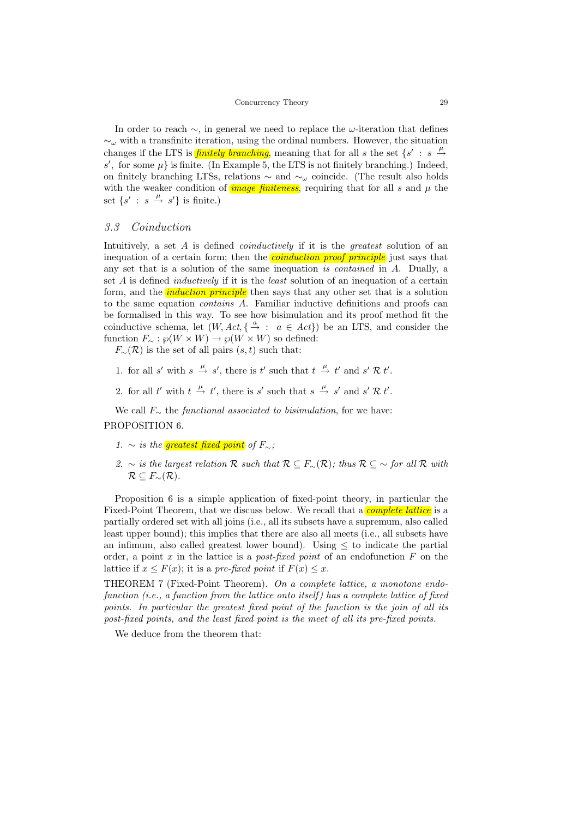In order to reach  $\sim$ , in general we need to replace the  $\omega$ -iteration that defines  $\sim_\omega$  with a transfinite iteration, using the ordinal numbers. However, the situation changes if the LTS is *finitely branching*, meaning that for all s the set  $\{s' : s \stackrel{\mu}{\rightarrow}$  $s'$ , for some  $\mu$ } is finite. (In Example 5, the LTS is not finitely branching.) Indeed, on finitely branching LTSs, relations  $\sim$  and  $\sim_\omega$  coincide. (The result also holds with the weaker condition of *image finiteness*, requiring that for all s and  $\mu$  the set  $\{s' : s \stackrel{\mu}{\rightarrow} s'\}$  is finite.)

# 3.3 Coinduction

Intuitively, a set A is defined coinductively if it is the greatest solution of an inequation of a certain form; then the *coinduction proof principle* just says that any set that is a solution of the same inequation is contained in A. Dually, a set  $A$  is defined *inductively* if it is the *least* solution of an inequation of a certain form, and the *induction principle* then says that any other set that is a solution to the same equation *contains A.* Familiar inductive definitions and proofs can be formalised in this way. To see how bisimulation and its proof method fit the coinductive schema, let  $(W, Act, \{\stackrel{a}{\to} : a \in Act\})$  be an LTS, and consider the function  $F_{\sim} : \varphi(W \times W) \to \varphi(W \times W)$  so defined:

 $F_\sim(\mathcal{R})$  is the set of all pairs  $(s,t)$  such that:

- 1. for all s' with  $s \stackrel{\mu}{\rightarrow} s'$ , there is t' such that  $t \stackrel{\mu}{\rightarrow} t'$  and  $s' \mathcal{R} t'$ .
- 2. for all t' with  $t \stackrel{\mu}{\rightarrow} t'$ , there is s' such that  $s \stackrel{\mu}{\rightarrow} s'$  and  $s' \mathcal{R} t'$ .

We call  $F_{\sim}$  the functional associated to bisimulation, for we have: PROPOSITION 6.

- 1.  $\sim$  is the greatest fixed point of  $F_{\sim}$ ;
- 2. ∼ is the largest relation R such that  $\mathcal{R} \subseteq F_\sim(\mathcal{R})$ ; thus  $\mathcal{R} \subseteq \sim$  for all R with  $\mathcal{R} \subseteq F_{\sim}(\mathcal{R}).$

Proposition 6 is a simple application of fixed-point theory, in particular the Fixed-Point Theorem, that we discuss below. We recall that a *complete lattice* is a partially ordered set with all joins (i.e., all its subsets have a supremum, also called least upper bound); this implies that there are also all meets (i.e., all subsets have an infimum, also called greatest lower bound). Using  $\leq$  to indicate the partial order, a point  $x$  in the lattice is a *post-fixed point* of an endofunction  $F$  on the lattice if  $x \leq F(x)$ ; it is a pre-fixed point if  $F(x) \leq x$ .

THEOREM 7 (Fixed-Point Theorem). On a complete lattice, a monotone endofunction (i.e., a function from the lattice onto itself) has a complete lattice of fixed points. In particular the greatest fixed point of the function is the join of all its post-fixed points, and the least fixed point is the meet of all its pre-fixed points.

We deduce from the theorem that: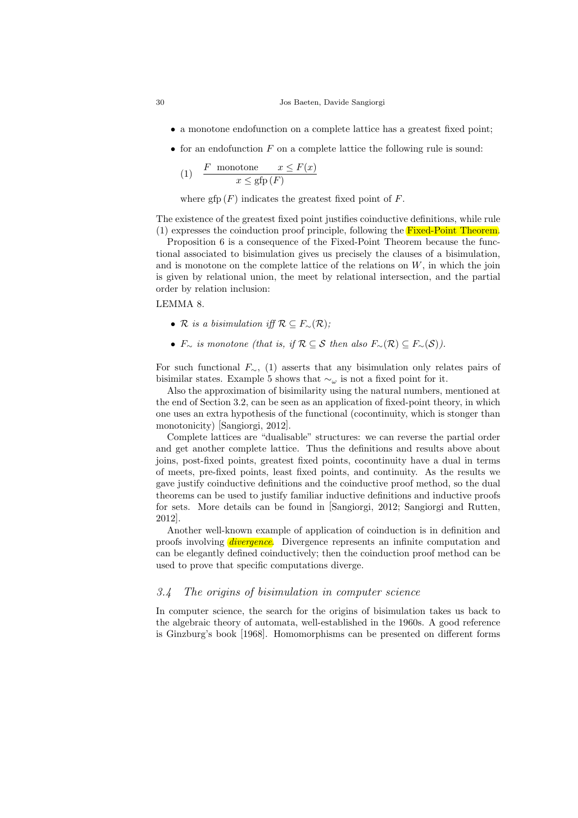- a monotone endofunction on a complete lattice has a greatest fixed point;
- for an endofunction  $F$  on a complete lattice the following rule is sound:

$$
(1) \quad \frac{F \text{ monotone}}{x \le \text{gfp}(F)}
$$

where  $gfp(F)$  indicates the greatest fixed point of F.

The existence of the greatest fixed point justifies coinductive definitions, while rule (1) expresses the coinduction proof principle, following the Fixed-Point Theorem.

Proposition 6 is a consequence of the Fixed-Point Theorem because the functional associated to bisimulation gives us precisely the clauses of a bisimulation, and is monotone on the complete lattice of the relations on  $W$ , in which the join is given by relational union, the meet by relational intersection, and the partial order by relation inclusion:

# LEMMA 8.

- R is a bisimulation iff  $\mathcal{R} \subseteq F_{\sim}(\mathcal{R})$ ;
- $F_{\sim}$  is monotone (that is, if  $\mathcal{R} \subset \mathcal{S}$  then also  $F_{\sim}(\mathcal{R}) \subset F_{\sim}(\mathcal{S})$ ).

For such functional  $F_{\sim}$ , (1) asserts that any bisimulation only relates pairs of bisimilar states. Example 5 shows that  $\sim_\omega$  is not a fixed point for it.

Also the approximation of bisimilarity using the natural numbers, mentioned at the end of Section 3.2, can be seen as an application of fixed-point theory, in which one uses an extra hypothesis of the functional (cocontinuity, which is stonger than monotonicity) [Sangiorgi, 2012].

Complete lattices are "dualisable" structures: we can reverse the partial order and get another complete lattice. Thus the definitions and results above about joins, post-fixed points, greatest fixed points, cocontinuity have a dual in terms of meets, pre-fixed points, least fixed points, and continuity. As the results we gave justify coinductive definitions and the coinductive proof method, so the dual theorems can be used to justify familiar inductive definitions and inductive proofs for sets. More details can be found in [Sangiorgi, 2012; Sangiorgi and Rutten, 2012].

Another well-known example of application of coinduction is in definition and proofs involving divergence. Divergence represents an infinite computation and can be elegantly defined coinductively; then the coinduction proof method can be used to prove that specific computations diverge.

# 3.4 The origins of bisimulation in computer science

In computer science, the search for the origins of bisimulation takes us back to the algebraic theory of automata, well-established in the 1960s. A good reference is Ginzburg's book [1968]. Homomorphisms can be presented on different forms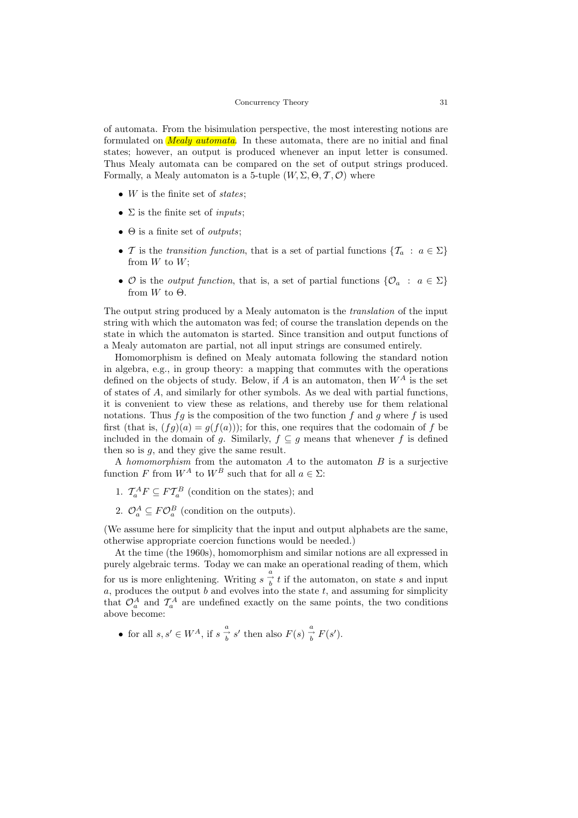of automata. From the bisimulation perspective, the most interesting notions are formulated on *Mealy automata*. In these automata, there are no initial and final states; however, an output is produced whenever an input letter is consumed. Thus Mealy automata can be compared on the set of output strings produced. Formally, a Mealy automaton is a 5-tuple  $(W, \Sigma, \Theta, \mathcal{T}, \mathcal{O})$  where

- W is the finite set of *states*:
- $\Sigma$  is the finite set of *inputs*:
- $\Theta$  is a finite set of *outputs*;
- T is the transition function, that is a set of partial functions  $\{\mathcal{T}_a : a \in \Sigma\}$ from  $W$  to  $W$ :
- $\mathcal O$  is the *output function*, that is, a set of partial functions  $\{\mathcal O_a : a \in \Sigma\}$ from  $W$  to  $\Theta$ .

The output string produced by a Mealy automaton is the *translation* of the input string with which the automaton was fed; of course the translation depends on the state in which the automaton is started. Since transition and output functions of a Mealy automaton are partial, not all input strings are consumed entirely.

Homomorphism is defined on Mealy automata following the standard notion in algebra, e.g., in group theory: a mapping that commutes with the operations defined on the objects of study. Below, if A is an automaton, then  $W^A$  is the set of states of A, and similarly for other symbols. As we deal with partial functions, it is convenient to view these as relations, and thereby use for them relational notations. Thus  $fg$  is the composition of the two function  $f$  and  $g$  where  $f$  is used first (that is,  $(fg)(a) = g(f(a))$ ); for this, one requires that the codomain of f be included in the domain of g. Similarly,  $f \subseteq g$  means that whenever f is defined then so is  $g$ , and they give the same result.

A homomorphism from the automaton  $A$  to the automaton  $B$  is a surjective function F from  $W^A$  to  $W^B$  such that for all  $a \in \Sigma$ :

- 1.  $\mathcal{T}_a^A F \subseteq F \mathcal{T}_a^B$  (condition on the states); and
- 2.  $\mathcal{O}_a^A \subseteq F\mathcal{O}_a^B$  (condition on the outputs).

(We assume here for simplicity that the input and output alphabets are the same, otherwise appropriate coercion functions would be needed.)

At the time (the 1960s), homomorphism and similar notions are all expressed in purely algebraic terms. Today we can make an operational reading of them, which for us is more enlightening. Writing  $s \frac{a}{b} t$  if the automaton, on state s and input a, produces the output b and evolves into the state t, and assuming for simplicity that  $\mathcal{O}_a^A$  and  $\mathcal{T}_a^A$  are undefined exactly on the same points, the two conditions above become:

• for all  $s, s' \in W^A$ , if  $s \frac{a}{b} s'$  then also  $F(s) \frac{a}{b} F(s')$ .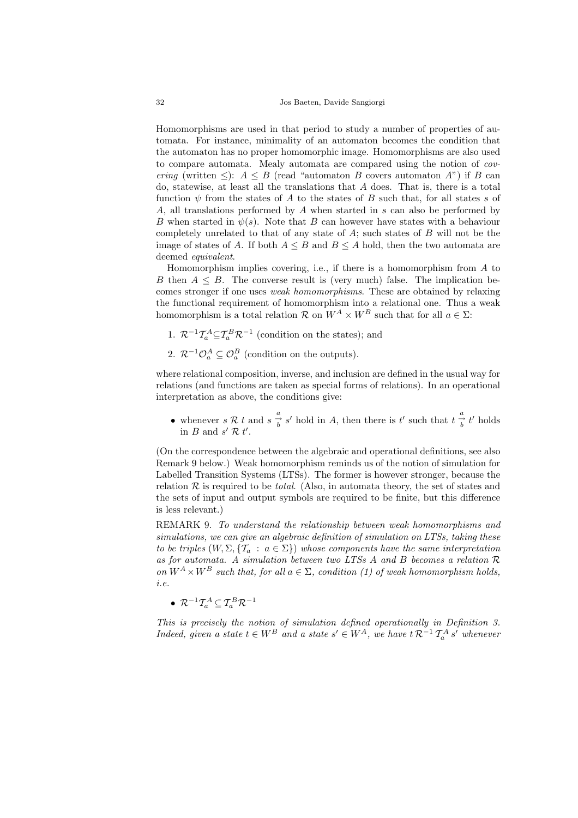Homomorphisms are used in that period to study a number of properties of automata. For instance, minimality of an automaton becomes the condition that the automaton has no proper homomorphic image. Homomorphisms are also used to compare automata. Mealy automata are compared using the notion of covering (written  $\leq$ ):  $A \leq B$  (read "automaton B covers automaton A") if B can do, statewise, at least all the translations that  $A$  does. That is, there is a total function  $\psi$  from the states of A to the states of B such that, for all states s of A, all translations performed by A when started in s can also be performed by B when started in  $\psi(s)$ . Note that B can however have states with a behaviour completely unrelated to that of any state of  $A$ ; such states of  $B$  will not be the image of states of A. If both  $A \leq B$  and  $B \leq A$  hold, then the two automata are deemed equivalent.

Homomorphism implies covering, i.e., if there is a homomorphism from A to B then  $A \leq B$ . The converse result is (very much) false. The implication becomes stronger if one uses weak homomorphisms. These are obtained by relaxing the functional requirement of homomorphism into a relational one. Thus a weak homomorphism is a total relation  $\mathcal{R}$  on  $W^A \times W^B$  such that for all  $a \in \Sigma$ :

- 1.  $\mathcal{R}^{-1} \mathcal{I}_a^A \subseteq \mathcal{I}_a^B \mathcal{R}^{-1}$  (condition on the states); and
- 2.  $\mathcal{R}^{-1}\mathcal{O}_a^A \subseteq \mathcal{O}_a^B$  (condition on the outputs).

where relational composition, inverse, and inclusion are defined in the usual way for relations (and functions are taken as special forms of relations). In an operational interpretation as above, the conditions give:

• whenever s R t and s  $\frac{a}{b}$  s' hold in A, then there is t' such that  $t \frac{a}{b} t'$  holds in  $B$  and  $s' \mathcal{R} t'$ .

(On the correspondence between the algebraic and operational definitions, see also Remark 9 below.) Weak homomorphism reminds us of the notion of simulation for Labelled Transition Systems (LTSs). The former is however stronger, because the relation  $R$  is required to be *total.* (Also, in automata theory, the set of states and the sets of input and output symbols are required to be finite, but this difference is less relevant.)

REMARK 9. To understand the relationship between weak homomorphisms and simulations, we can give an algebraic definition of simulation on LTSs, taking these to be triples  $(W, \Sigma, \{T_a : a \in \Sigma\})$  whose components have the same interpretation as for automata. A simulation between two LTSs A and B becomes a relation  $\mathcal R$ on  $W^A \times W^B$  such that, for all  $a \in \Sigma$ , condition (1) of weak homomorphism holds, i.e.

$$
\bullet\ \mathcal{R}^{-1}\mathcal{T}^A_a\subseteq \mathcal{T}^B_a\mathcal{R}^{-1}
$$

This is precisely the notion of simulation defined operationally in Definition 3. Indeed, given a state  $t \in W^B$  and a state  $s' \in W^A$ , we have  $t \mathcal{R}^{-1} \mathcal{T}_a^A s'$  whenever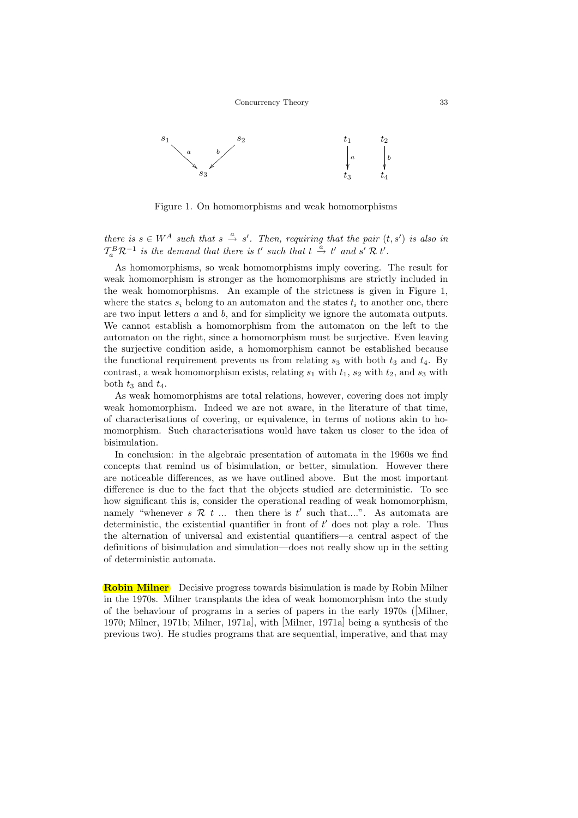

Figure 1. On homomorphisms and weak homomorphisms

there is  $s \in W^A$  such that  $s \stackrel{a}{\rightarrow} s'$ . Then, requiring that the pair  $(t, s')$  is also in  $T_a^B \mathcal{R}^{-1}$  is the demand that there is t' such that  $t \stackrel{a}{\rightarrow} t'$  and  $s' \mathcal{R} t'$ .

As homomorphisms, so weak homomorphisms imply covering. The result for weak homomorphism is stronger as the homomorphisms are strictly included in the weak homomorphisms. An example of the strictness is given in Figure 1, where the states  $s_i$  belong to an automaton and the states  $t_i$  to another one, there are two input letters  $a$  and  $b$ , and for simplicity we ignore the automata outputs. We cannot establish a homomorphism from the automaton on the left to the automaton on the right, since a homomorphism must be surjective. Even leaving the surjective condition aside, a homomorphism cannot be established because the functional requirement prevents us from relating  $s_3$  with both  $t_3$  and  $t_4$ . By contrast, a weak homomorphism exists, relating  $s_1$  with  $t_1$ ,  $s_2$  with  $t_2$ , and  $s_3$  with both  $t_3$  and  $t_4$ .

As weak homomorphisms are total relations, however, covering does not imply weak homomorphism. Indeed we are not aware, in the literature of that time, of characterisations of covering, or equivalence, in terms of notions akin to homomorphism. Such characterisations would have taken us closer to the idea of bisimulation.

In conclusion: in the algebraic presentation of automata in the 1960s we find concepts that remind us of bisimulation, or better, simulation. However there are noticeable differences, as we have outlined above. But the most important difference is due to the fact that the objects studied are deterministic. To see how significant this is, consider the operational reading of weak homomorphism, namely "whenever  $s \mathcal{R} t$  ... then there is  $t'$  such that....". As automata are deterministic, the existential quantifier in front of  $t'$  does not play a role. Thus the alternation of universal and existential quantifiers—a central aspect of the definitions of bisimulation and simulation—does not really show up in the setting of deterministic automata.

**Robin Milner** Decisive progress towards bisimulation is made by Robin Milner in the 1970s. Milner transplants the idea of weak homomorphism into the study of the behaviour of programs in a series of papers in the early 1970s ([Milner, 1970; Milner, 1971b; Milner, 1971a], with [Milner, 1971a] being a synthesis of the previous two). He studies programs that are sequential, imperative, and that may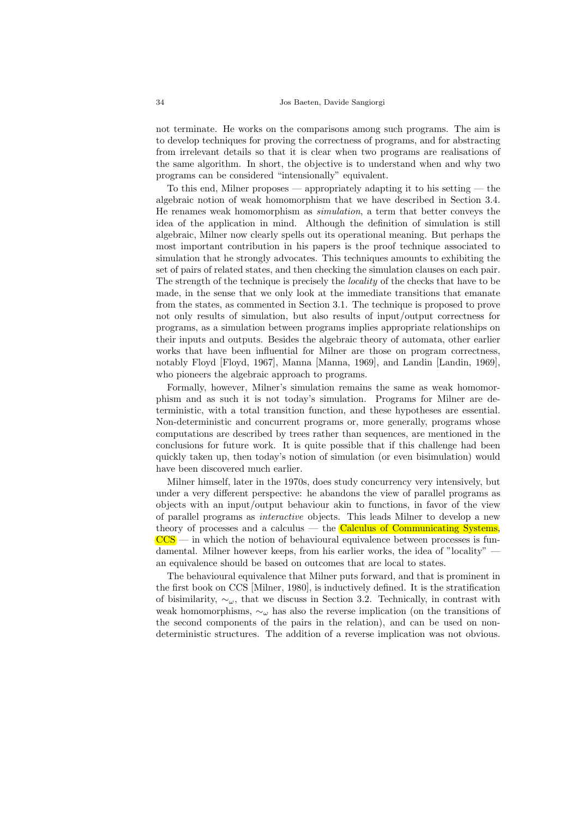not terminate. He works on the comparisons among such programs. The aim is to develop techniques for proving the correctness of programs, and for abstracting from irrelevant details so that it is clear when two programs are realisations of the same algorithm. In short, the objective is to understand when and why two programs can be considered "intensionally" equivalent.

To this end, Milner proposes — appropriately adapting it to his setting — the algebraic notion of weak homomorphism that we have described in Section 3.4. He renames weak homomorphism as simulation, a term that better conveys the idea of the application in mind. Although the definition of simulation is still algebraic, Milner now clearly spells out its operational meaning. But perhaps the most important contribution in his papers is the proof technique associated to simulation that he strongly advocates. This techniques amounts to exhibiting the set of pairs of related states, and then checking the simulation clauses on each pair. The strength of the technique is precisely the locality of the checks that have to be made, in the sense that we only look at the immediate transitions that emanate from the states, as commented in Section 3.1. The technique is proposed to prove not only results of simulation, but also results of input/output correctness for programs, as a simulation between programs implies appropriate relationships on their inputs and outputs. Besides the algebraic theory of automata, other earlier works that have been influential for Milner are those on program correctness, notably Floyd [Floyd, 1967], Manna [Manna, 1969], and Landin [Landin, 1969], who pioneers the algebraic approach to programs.

Formally, however, Milner's simulation remains the same as weak homomorphism and as such it is not today's simulation. Programs for Milner are deterministic, with a total transition function, and these hypotheses are essential. Non-deterministic and concurrent programs or, more generally, programs whose computations are described by trees rather than sequences, are mentioned in the conclusions for future work. It is quite possible that if this challenge had been quickly taken up, then today's notion of simulation (or even bisimulation) would have been discovered much earlier.

Milner himself, later in the 1970s, does study concurrency very intensively, but under a very different perspective: he abandons the view of parallel programs as objects with an input/output behaviour akin to functions, in favor of the view of parallel programs as interactive objects. This leads Milner to develop a new theory of processes and a calculus — the **Calculus of Communicating Systems**. CCS — in which the notion of behavioural equivalence between processes is fundamental. Milner however keeps, from his earlier works, the idea of "locality" an equivalence should be based on outcomes that are local to states.

The behavioural equivalence that Milner puts forward, and that is prominent in the first book on CCS [Milner, 1980], is inductively defined. It is the stratification of bisimilarity,  $\sim_\omega$ , that we discuss in Section 3.2. Technically, in contrast with weak homomorphisms,  $\sim_\omega$  has also the reverse implication (on the transitions of the second components of the pairs in the relation), and can be used on nondeterministic structures. The addition of a reverse implication was not obvious.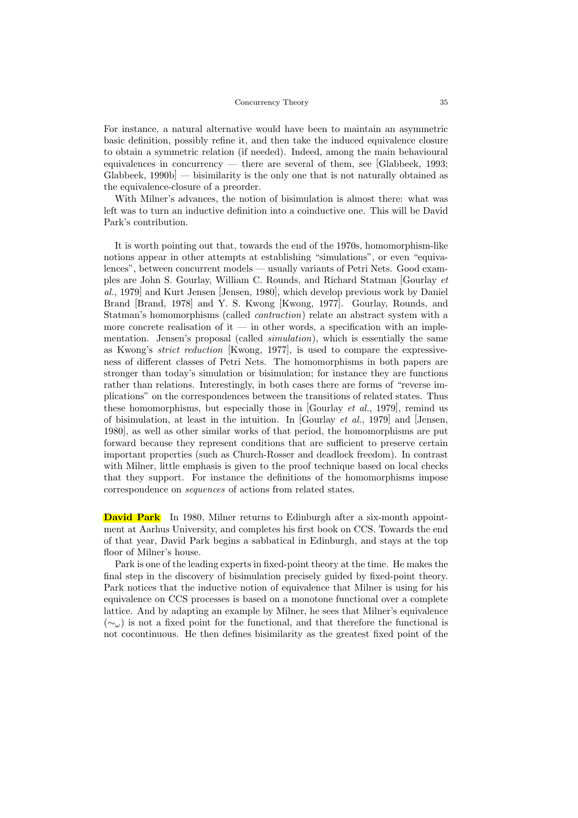#### Concurrency Theory 35

For instance, a natural alternative would have been to maintain an asymmetric basic definition, possibly refine it, and then take the induced equivalence closure to obtain a symmetric relation (if needed). Indeed, among the main behavioural equivalences in concurrency — there are several of them, see [Glabbeek, 1993;  $G$ labbeek,  $1990b$  — bisimilarity is the only one that is not naturally obtained as the equivalence-closure of a preorder.

With Milner's advances, the notion of bisimulation is almost there: what was left was to turn an inductive definition into a coinductive one. This will be David Park's contribution.

It is worth pointing out that, towards the end of the 1970s, homomorphism-like notions appear in other attempts at establishing "simulations", or even "equivalences", between concurrent models — usually variants of Petri Nets. Good examples are John S. Gourlay, William C. Rounds, and Richard Statman [Gourlay et al., 1979] and Kurt Jensen [Jensen, 1980], which develop previous work by Daniel Brand [Brand, 1978] and Y. S. Kwong [Kwong, 1977]. Gourlay, Rounds, and Statman's homomorphisms (called *contraction*) relate an abstract system with a more concrete realisation of it — in other words, a specification with an implementation. Jensen's proposal (called *simulation*), which is essentially the same as Kwong's strict reduction [Kwong, 1977], is used to compare the expressiveness of different classes of Petri Nets. The homomorphisms in both papers are stronger than today's simulation or bisimulation; for instance they are functions rather than relations. Interestingly, in both cases there are forms of "reverse implications" on the correspondences between the transitions of related states. Thus these homomorphisms, but especially those in [Gourlay et al., 1979], remind us of bisimulation, at least in the intuition. In  $[Gourlay *et al.*, 1979]$  and [Jensen, 1980], as well as other similar works of that period, the homomorphisms are put forward because they represent conditions that are sufficient to preserve certain important properties (such as Church-Rosser and deadlock freedom). In contrast with Milner, little emphasis is given to the proof technique based on local checks that they support. For instance the definitions of the homomorphisms impose correspondence on sequences of actions from related states.

**David Park** In 1980, Milner returns to Edinburgh after a six-month appointment at Aarhus University, and completes his first book on CCS. Towards the end of that year, David Park begins a sabbatical in Edinburgh, and stays at the top floor of Milner's house.

Park is one of the leading experts in fixed-point theory at the time. He makes the final step in the discovery of bisimulation precisely guided by fixed-point theory. Park notices that the inductive notion of equivalence that Milner is using for his equivalence on CCS processes is based on a monotone functional over a complete lattice. And by adapting an example by Milner, he sees that Milner's equivalence  $(∼<sub>ω</sub>)$  is not a fixed point for the functional, and that therefore the functional is not cocontinuous. He then defines bisimilarity as the greatest fixed point of the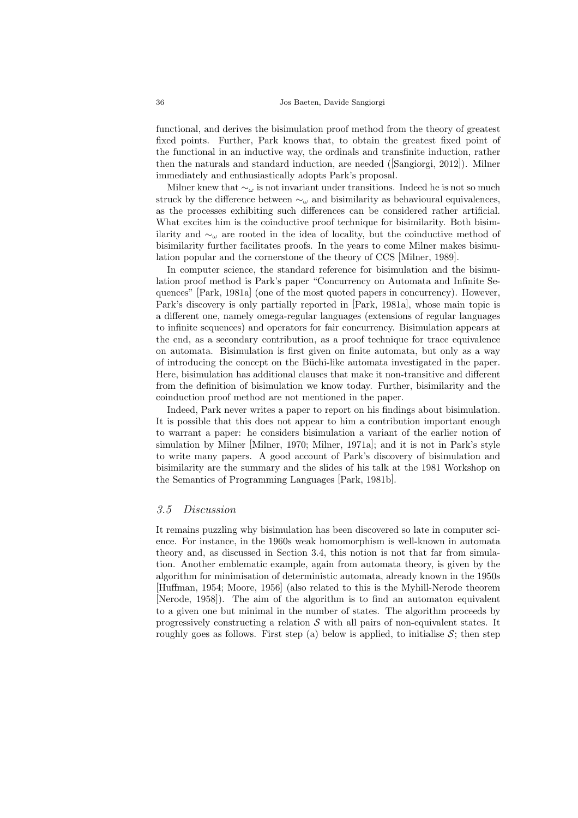functional, and derives the bisimulation proof method from the theory of greatest fixed points. Further, Park knows that, to obtain the greatest fixed point of the functional in an inductive way, the ordinals and transfinite induction, rather then the naturals and standard induction, are needed ([Sangiorgi, 2012]). Milner immediately and enthusiastically adopts Park's proposal.

Milner knew that  $~\sim_\omega$  is not invariant under transitions. Indeed he is not so much struck by the difference between  $\sim_\omega$  and bisimilarity as behavioural equivalences, as the processes exhibiting such differences can be considered rather artificial. What excites him is the coinductive proof technique for bisimilarity. Both bisimilarity and  $\sim_{\omega}$  are rooted in the idea of locality, but the coinductive method of bisimilarity further facilitates proofs. In the years to come Milner makes bisimulation popular and the cornerstone of the theory of CCS [Milner, 1989].

In computer science, the standard reference for bisimulation and the bisimulation proof method is Park's paper "Concurrency on Automata and Infinite Sequences" [Park, 1981a] (one of the most quoted papers in concurrency). However, Park's discovery is only partially reported in [Park, 1981a], whose main topic is a different one, namely omega-regular languages (extensions of regular languages to infinite sequences) and operators for fair concurrency. Bisimulation appears at the end, as a secondary contribution, as a proof technique for trace equivalence on automata. Bisimulation is first given on finite automata, but only as a way of introducing the concept on the Büchi-like automata investigated in the paper. Here, bisimulation has additional clauses that make it non-transitive and different from the definition of bisimulation we know today. Further, bisimilarity and the coinduction proof method are not mentioned in the paper.

Indeed, Park never writes a paper to report on his findings about bisimulation. It is possible that this does not appear to him a contribution important enough to warrant a paper: he considers bisimulation a variant of the earlier notion of simulation by Milner [Milner, 1970; Milner, 1971a]; and it is not in Park's style to write many papers. A good account of Park's discovery of bisimulation and bisimilarity are the summary and the slides of his talk at the 1981 Workshop on the Semantics of Programming Languages [Park, 1981b].

# 3.5 Discussion

It remains puzzling why bisimulation has been discovered so late in computer science. For instance, in the 1960s weak homomorphism is well-known in automata theory and, as discussed in Section 3.4, this notion is not that far from simulation. Another emblematic example, again from automata theory, is given by the algorithm for minimisation of deterministic automata, already known in the 1950s [Huffman, 1954; Moore, 1956] (also related to this is the Myhill-Nerode theorem [Nerode, 1958]). The aim of the algorithm is to find an automaton equivalent to a given one but minimal in the number of states. The algorithm proceeds by progressively constructing a relation  $S$  with all pairs of non-equivalent states. It roughly goes as follows. First step (a) below is applied, to initialise  $S$ ; then step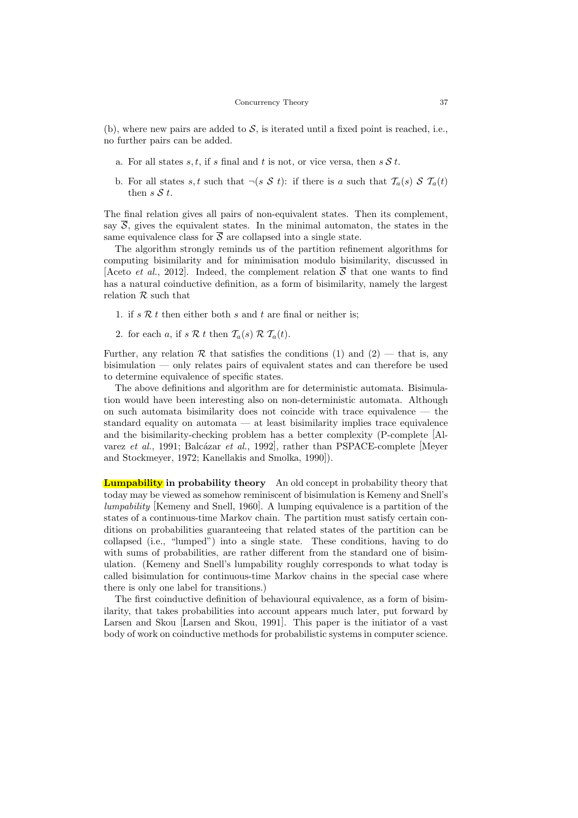(b), where new pairs are added to  $S$ , is iterated until a fixed point is reached, i.e., no further pairs can be added.

- a. For all states s, t, if s final and t is not, or vice versa, then  $s \mathcal{S} t$ .
- b. For all states s, t such that  $\neg(s \mathcal{S} t)$ : if there is a such that  $\mathcal{T}_a(s) \mathcal{S} \mathcal{T}_a(t)$ then  $s \mathcal{S} t$ .

The final relation gives all pairs of non-equivalent states. Then its complement, say  $\overline{S}$ , gives the equivalent states. In the minimal automaton, the states in the same equivalence class for  $\overline{S}$  are collapsed into a single state.

The algorithm strongly reminds us of the partition refinement algorithms for computing bisimilarity and for minimisation modulo bisimilarity, discussed in [Aceto *et al.*, 2012]. Indeed, the complement relation  $\overline{S}$  that one wants to find has a natural coinductive definition, as a form of bisimilarity, namely the largest relation  $R$  such that

- 1. if  $s \mathcal{R} t$  then either both s and t are final or neither is:
- 2. for each a, if s R t then  $\mathcal{T}_a(s)$  R  $\mathcal{T}_a(t)$ .

Further, any relation R that satisfies the conditions (1) and (2) — that is, any bisimulation — only relates pairs of equivalent states and can therefore be used to determine equivalence of specific states.

The above definitions and algorithm are for deterministic automata. Bisimulation would have been interesting also on non-deterministic automata. Although on such automata bisimilarity does not coincide with trace equivalence — the standard equality on automata — at least bisimilarity implies trace equivalence and the bisimilarity-checking problem has a better complexity (P-complete [Alvarez et al., 1991; Balcázar et al., 1992, rather than PSPACE-complete [Meyer and Stockmeyer, 1972; Kanellakis and Smolka, 1990]).

**Lumpability** in probability theory An old concept in probability theory that today may be viewed as somehow reminiscent of bisimulation is Kemeny and Snell's lumpability [Kemeny and Snell, 1960]. A lumping equivalence is a partition of the states of a continuous-time Markov chain. The partition must satisfy certain conditions on probabilities guaranteeing that related states of the partition can be collapsed (i.e., "lumped") into a single state. These conditions, having to do with sums of probabilities, are rather different from the standard one of bisimulation. (Kemeny and Snell's lumpability roughly corresponds to what today is called bisimulation for continuous-time Markov chains in the special case where there is only one label for transitions.)

The first coinductive definition of behavioural equivalence, as a form of bisimilarity, that takes probabilities into account appears much later, put forward by Larsen and Skou [Larsen and Skou, 1991]. This paper is the initiator of a vast body of work on coinductive methods for probabilistic systems in computer science.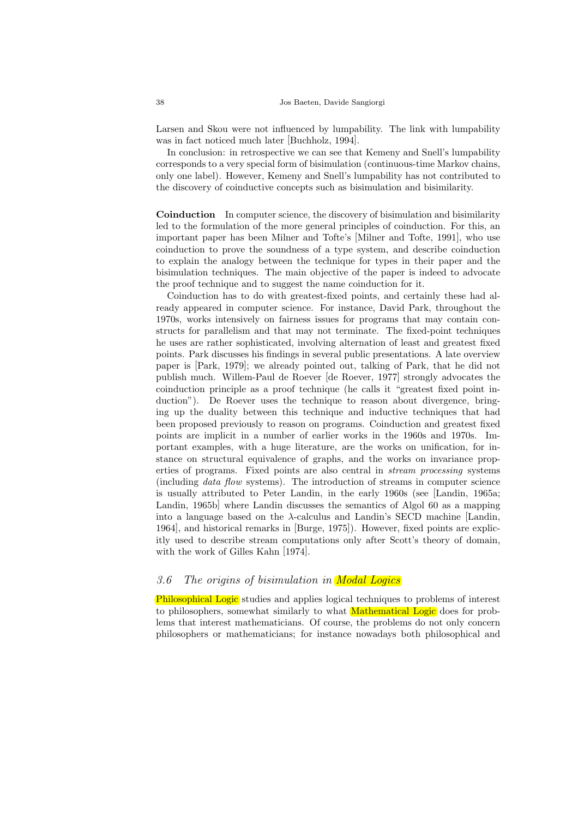Larsen and Skou were not influenced by lumpability. The link with lumpability was in fact noticed much later [Buchholz, 1994].

In conclusion: in retrospective we can see that Kemeny and Snell's lumpability corresponds to a very special form of bisimulation (continuous-time Markov chains, only one label). However, Kemeny and Snell's lumpability has not contributed to the discovery of coinductive concepts such as bisimulation and bisimilarity.

Coinduction In computer science, the discovery of bisimulation and bisimilarity led to the formulation of the more general principles of coinduction. For this, an important paper has been Milner and Tofte's [Milner and Tofte, 1991], who use coinduction to prove the soundness of a type system, and describe coinduction to explain the analogy between the technique for types in their paper and the bisimulation techniques. The main objective of the paper is indeed to advocate the proof technique and to suggest the name coinduction for it.

Coinduction has to do with greatest-fixed points, and certainly these had already appeared in computer science. For instance, David Park, throughout the 1970s, works intensively on fairness issues for programs that may contain constructs for parallelism and that may not terminate. The fixed-point techniques he uses are rather sophisticated, involving alternation of least and greatest fixed points. Park discusses his findings in several public presentations. A late overview paper is [Park, 1979]; we already pointed out, talking of Park, that he did not publish much. Willem-Paul de Roever [de Roever, 1977] strongly advocates the coinduction principle as a proof technique (he calls it "greatest fixed point induction"). De Roever uses the technique to reason about divergence, bringing up the duality between this technique and inductive techniques that had been proposed previously to reason on programs. Coinduction and greatest fixed points are implicit in a number of earlier works in the 1960s and 1970s. Important examples, with a huge literature, are the works on unification, for instance on structural equivalence of graphs, and the works on invariance properties of programs. Fixed points are also central in stream processing systems (including data flow systems). The introduction of streams in computer science is usually attributed to Peter Landin, in the early 1960s (see [Landin, 1965a; Landin, 1965b] where Landin discusses the semantics of Algol 60 as a mapping into a language based on the  $\lambda$ -calculus and Landin's SECD machine [Landin, 1964], and historical remarks in [Burge, 1975]). However, fixed points are explicitly used to describe stream computations only after Scott's theory of domain, with the work of Gilles Kahn [1974].

# 3.6 The origins of bisimulation in **Modal Logics**

Philosophical Logic studies and applies logical techniques to problems of interest to philosophers, somewhat similarly to what **Mathematical Logic** does for problems that interest mathematicians. Of course, the problems do not only concern philosophers or mathematicians; for instance nowadays both philosophical and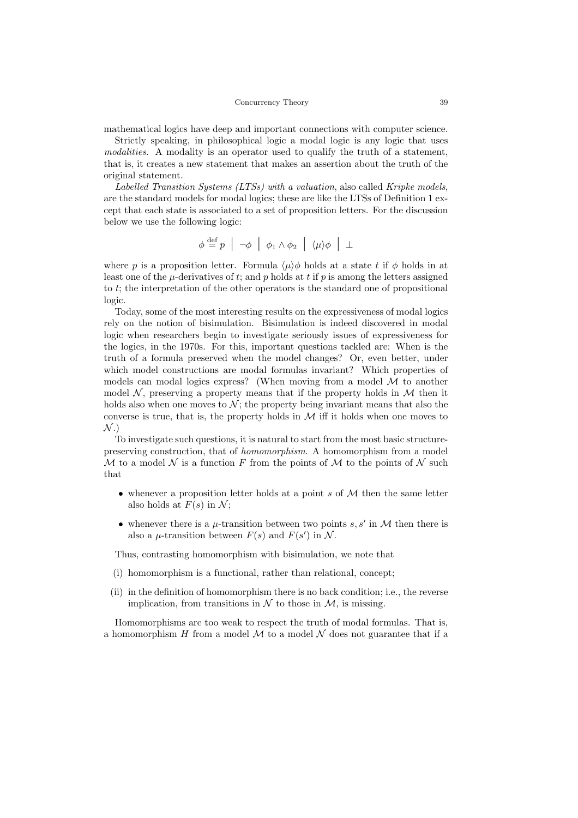mathematical logics have deep and important connections with computer science.

Strictly speaking, in philosophical logic a modal logic is any logic that uses modalities. A modality is an operator used to qualify the truth of a statement, that is, it creates a new statement that makes an assertion about the truth of the original statement.

Labelled Transition Systems (LTSs) with a valuation, also called Kripke models, are the standard models for modal logics; these are like the LTSs of Definition 1 except that each state is associated to a set of proposition letters. For the discussion below we use the following logic:

$$
\phi \stackrel{\text{def}}{=} p \ \big| \ \neg \phi \ \big| \ \phi_1 \wedge \phi_2 \ \big| \ \langle \mu \rangle \phi \ \big| \ \bot
$$

where p is a proposition letter. Formula  $\langle \mu \rangle \phi$  holds at a state t if  $\phi$  holds in at least one of the  $\mu$ -derivatives of t; and p holds at t if p is among the letters assigned to t; the interpretation of the other operators is the standard one of propositional logic.

Today, some of the most interesting results on the expressiveness of modal logics rely on the notion of bisimulation. Bisimulation is indeed discovered in modal logic when researchers begin to investigate seriously issues of expressiveness for the logics, in the 1970s. For this, important questions tackled are: When is the truth of a formula preserved when the model changes? Or, even better, under which model constructions are modal formulas invariant? Which properties of models can modal logics express? (When moving from a model  $M$  to another model  $\mathcal N$ , preserving a property means that if the property holds in  $\mathcal M$  then it holds also when one moves to  $\mathcal{N}$ ; the property being invariant means that also the converse is true, that is, the property holds in  $M$  iff it holds when one moves to  $\mathcal{N}$ .)

To investigate such questions, it is natural to start from the most basic structurepreserving construction, that of homomorphism. A homomorphism from a model M to a model N is a function F from the points of M to the points of N such that

- whenever a proposition letter holds at a point s of  $\mathcal M$  then the same letter also holds at  $F(s)$  in  $\mathcal{N}$ ;
- whenever there is a  $\mu$ -transition between two points s, s' in M then there is also a  $\mu$ -transition between  $F(s)$  and  $F(s')$  in N.

Thus, contrasting homomorphism with bisimulation, we note that

- (i) homomorphism is a functional, rather than relational, concept;
- (ii) in the definition of homomorphism there is no back condition; i.e., the reverse implication, from transitions in  $\mathcal N$  to those in  $\mathcal M$ , is missing.

Homomorphisms are too weak to respect the truth of modal formulas. That is, a homomorphism H from a model  $\mathcal M$  to a model  $\mathcal N$  does not guarantee that if a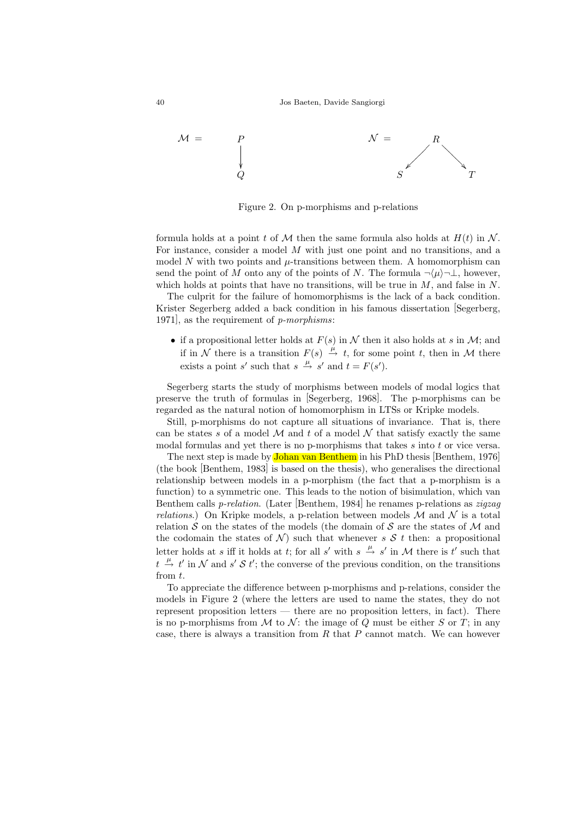40 Jos Baeten, Davide Sangiorgi



Figure 2. On p-morphisms and p-relations

formula holds at a point t of M then the same formula also holds at  $H(t)$  in N. For instance, consider a model M with just one point and no transitions, and a model N with two points and  $\mu$ -transitions between them. A homomorphism can send the point of M onto any of the points of N. The formula  $\neg(\mu)\neg\bot$ , however, which holds at points that have no transitions, will be true in  $M$ , and false in  $N$ .

The culprit for the failure of homomorphisms is the lack of a back condition. Krister Segerberg added a back condition in his famous dissertation [Segerberg, 1971], as the requirement of p-morphisms:

• if a propositional letter holds at  $F(s)$  in N then it also holds at s in M; and if in N there is a transition  $F(s) \stackrel{\mu}{\rightarrow} t$ , for some point t, then in M there exists a point s' such that  $s \stackrel{\mu}{\to} s'$  and  $t = F(s')$ .

Segerberg starts the study of morphisms between models of modal logics that preserve the truth of formulas in [Segerberg, 1968]. The p-morphisms can be regarded as the natural notion of homomorphism in LTSs or Kripke models.

Still, p-morphisms do not capture all situations of invariance. That is, there can be states s of a model M and t of a model N that satisfy exactly the same modal formulas and yet there is no p-morphisms that takes  $s$  into  $t$  or vice versa.

The next step is made by Johan van Benthem in his PhD thesis [Benthem, 1976] (the book [Benthem, 1983] is based on the thesis), who generalises the directional relationship between models in a p-morphism (the fact that a p-morphism is a function) to a symmetric one. This leads to the notion of bisimulation, which van Benthem calls p-relation. (Later [Benthem, 1984] he renames p-relations as zigzag relations.) On Kripke models, a p-relation between models  $M$  and  $N$  is a total relation S on the states of the models (the domain of S are the states of  $\mathcal M$  and the codomain the states of  $\mathcal N$  such that whenever s  $\mathcal S$  t then: a propositional letter holds at s iff it holds at t; for all s' with  $s \stackrel{\mu}{\to} s'$  in M there is t' such that  $t \stackrel{\mu}{\rightarrow} t'$  in N and s' S t'; the converse of the previous condition, on the transitions from t.

To appreciate the difference between p-morphisms and p-relations, consider the models in Figure 2 (where the letters are used to name the states, they do not represent proposition letters — there are no proposition letters, in fact). There is no p-morphisms from  $M$  to  $N$ : the image of Q must be either S or T; in any case, there is always a transition from  $R$  that  $P$  cannot match. We can however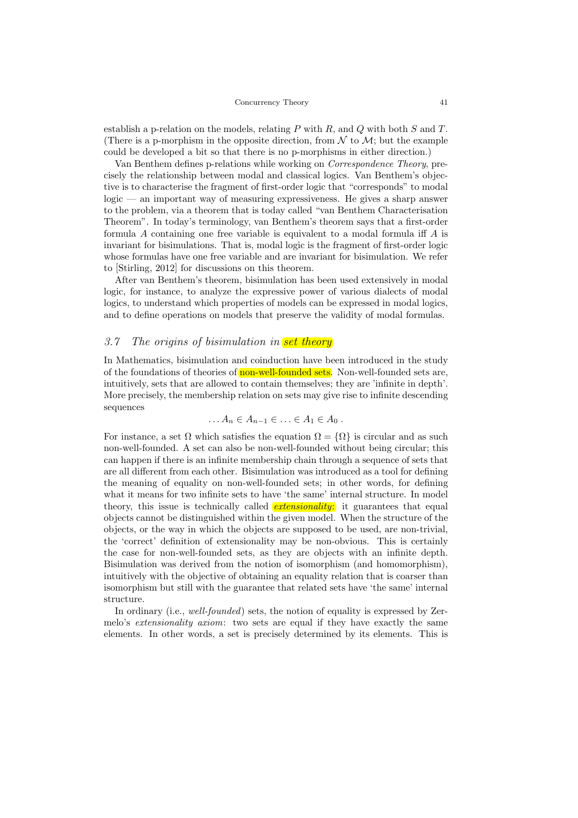#### Concurrency Theory 41

establish a p-relation on the models, relating  $P$  with  $R$ , and  $Q$  with both  $S$  and  $T$ . (There is a p-morphism in the opposite direction, from  $\mathcal N$  to  $\mathcal M$ ; but the example could be developed a bit so that there is no p-morphisms in either direction.)

Van Benthem defines p-relations while working on Correspondence Theory, precisely the relationship between modal and classical logics. Van Benthem's objective is to characterise the fragment of first-order logic that "corresponds" to modal logic — an important way of measuring expressiveness. He gives a sharp answer to the problem, via a theorem that is today called "van Benthem Characterisation Theorem". In today's terminology, van Benthem's theorem says that a first-order formula A containing one free variable is equivalent to a modal formula iff A is invariant for bisimulations. That is, modal logic is the fragment of first-order logic whose formulas have one free variable and are invariant for bisimulation. We refer to [Stirling, 2012] for discussions on this theorem.

After van Benthem's theorem, bisimulation has been used extensively in modal logic, for instance, to analyze the expressive power of various dialects of modal logics, to understand which properties of models can be expressed in modal logics, and to define operations on models that preserve the validity of modal formulas.

# 3.7 The origins of bisimulation in set theory

In Mathematics, bisimulation and coinduction have been introduced in the study of the foundations of theories of non-well-founded sets. Non-well-founded sets are, intuitively, sets that are allowed to contain themselves; they are 'infinite in depth'. More precisely, the membership relation on sets may give rise to infinite descending sequences

$$
\dots A_n \in A_{n-1} \in \dots \in A_1 \in A_0 .
$$

For instance, a set  $\Omega$  which satisfies the equation  $\Omega = {\Omega}$  is circular and as such non-well-founded. A set can also be non-well-founded without being circular; this can happen if there is an infinite membership chain through a sequence of sets that are all different from each other. Bisimulation was introduced as a tool for defining the meaning of equality on non-well-founded sets; in other words, for defining what it means for two infinite sets to have 'the same' internal structure. In model theory, this issue is technically called *extensionality*: it guarantees that equal objects cannot be distinguished within the given model. When the structure of the objects, or the way in which the objects are supposed to be used, are non-trivial, the 'correct' definition of extensionality may be non-obvious. This is certainly the case for non-well-founded sets, as they are objects with an infinite depth. Bisimulation was derived from the notion of isomorphism (and homomorphism), intuitively with the objective of obtaining an equality relation that is coarser than isomorphism but still with the guarantee that related sets have 'the same' internal structure.

In ordinary (i.e., well-founded) sets, the notion of equality is expressed by Zermelo's extensionality axiom: two sets are equal if they have exactly the same elements. In other words, a set is precisely determined by its elements. This is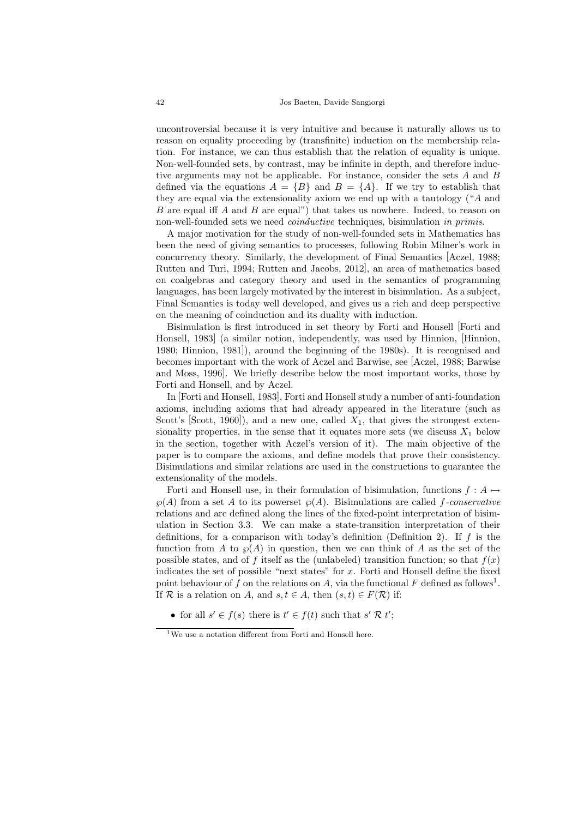uncontroversial because it is very intuitive and because it naturally allows us to reason on equality proceeding by (transfinite) induction on the membership relation. For instance, we can thus establish that the relation of equality is unique. Non-well-founded sets, by contrast, may be infinite in depth, and therefore inductive arguments may not be applicable. For instance, consider the sets  $A$  and  $B$ defined via the equations  $A = \{B\}$  and  $B = \{A\}$ . If we try to establish that they are equal via the extensionality axiom we end up with a tautology ("A and  $B$  are equal iff  $A$  and  $B$  are equal") that takes us nowhere. Indeed, to reason on non-well-founded sets we need coinductive techniques, bisimulation in primis.

A major motivation for the study of non-well-founded sets in Mathematics has been the need of giving semantics to processes, following Robin Milner's work in concurrency theory. Similarly, the development of Final Semantics [Aczel, 1988; Rutten and Turi, 1994; Rutten and Jacobs, 2012], an area of mathematics based on coalgebras and category theory and used in the semantics of programming languages, has been largely motivated by the interest in bisimulation. As a subject, Final Semantics is today well developed, and gives us a rich and deep perspective on the meaning of coinduction and its duality with induction.

Bisimulation is first introduced in set theory by Forti and Honsell [Forti and Honsell, 1983] (a similar notion, independently, was used by Hinnion, [Hinnion, 1980; Hinnion, 1981]), around the beginning of the 1980s). It is recognised and becomes important with the work of Aczel and Barwise, see [Aczel, 1988; Barwise and Moss, 1996]. We briefly describe below the most important works, those by Forti and Honsell, and by Aczel.

In [Forti and Honsell, 1983], Forti and Honsell study a number of anti-foundation axioms, including axioms that had already appeared in the literature (such as Scott's  $[Scott, 1960]$ , and a new one, called  $X_1$ , that gives the strongest extensionality properties, in the sense that it equates more sets (we discuss  $X_1$  below in the section, together with Aczel's version of it). The main objective of the paper is to compare the axioms, and define models that prove their consistency. Bisimulations and similar relations are used in the constructions to guarantee the extensionality of the models.

Forti and Honsell use, in their formulation of bisimulation, functions  $f : A \mapsto$  $\wp(A)$  from a set A to its powerset  $\wp(A)$ . Bisimulations are called f-conservative relations and are defined along the lines of the fixed-point interpretation of bisimulation in Section 3.3. We can make a state-transition interpretation of their definitions, for a comparison with today's definition (Definition 2). If  $f$  is the function from A to  $\mathcal{O}(A)$  in question, then we can think of A as the set of the possible states, and of f itself as the (unlabeled) transition function; so that  $f(x)$ indicates the set of possible "next states" for  $x$ . Forti and Honsell define the fixed point behaviour of f on the relations on A, via the functional F defined as follows<sup>1</sup>. If R is a relation on A, and  $s, t \in A$ , then  $(s, t) \in F(\mathcal{R})$  if:

• for all  $s' \in f(s)$  there is  $t' \in f(t)$  such that  $s' \mathcal{R} t'$ ;

<sup>1</sup>We use a notation different from Forti and Honsell here.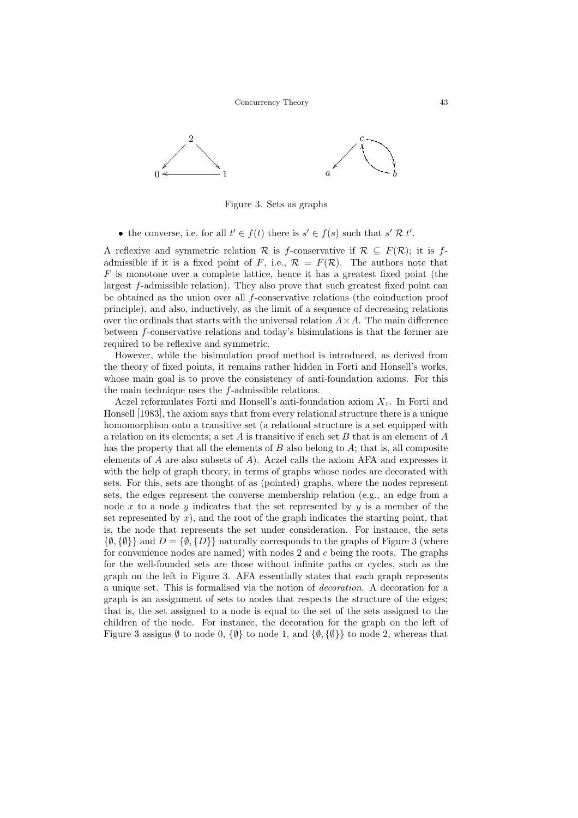

Figure 3. Sets as graphs

• the converse, i.e. for all  $t' \in f(t)$  there is  $s' \in f(s)$  such that  $s' \mathcal{R} t'$ .

A reflexive and symmetric relation R is f-conservative if  $\mathcal{R} \subseteq F(\mathcal{R})$ ; it is fadmissible if it is a fixed point of F, i.e.,  $\mathcal{R} = F(\mathcal{R})$ . The authors note that F is monotone over a complete lattice, hence it has a greatest fixed point (the largest f-admissible relation). They also prove that such greatest fixed point can be obtained as the union over all f-conservative relations (the coinduction proof principle), and also, inductively, as the limit of a sequence of decreasing relations over the ordinals that starts with the universal relation  $A \times A$ . The main difference between f-conservative relations and today's bisimulations is that the former are required to be reflexive and symmetric.

However, while the bisimulation proof method is introduced, as derived from the theory of fixed points, it remains rather hidden in Forti and Honsell's works, whose main goal is to prove the consistency of anti-foundation axioms. For this the main technique uses the f-admissible relations.

Aczel reformulates Forti and Honsell's anti-foundation axiom  $X_1$ . In Forti and Honsell [1983], the axiom says that from every relational structure there is a unique homomorphism onto a transitive set (a relational structure is a set equipped with a relation on its elements; a set A is transitive if each set B that is an element of A has the property that all the elements of  $B$  also belong to  $A$ ; that is, all composite elements of A are also subsets of  $A$ ). Aczel calls the axiom AFA and expresses it with the help of graph theory, in terms of graphs whose nodes are decorated with sets. For this, sets are thought of as (pointed) graphs, where the nodes represent sets, the edges represent the converse membership relation (e.g., an edge from a node x to a node y indicates that the set represented by y is a member of the set represented by  $x$ ), and the root of the graph indicates the starting point, that is, the node that represents the set under consideration. For instance, the sets  $\{\emptyset, \{\emptyset\}\}\$ and  $D = \{\emptyset, \{D\}\}\$ naturally corresponds to the graphs of Figure 3 (where for convenience nodes are named) with nodes 2 and  $c$  being the roots. The graphs for the well-founded sets are those without infinite paths or cycles, such as the graph on the left in Figure 3. AFA essentially states that each graph represents a unique set. This is formalised via the notion of decoration. A decoration for a graph is an assignment of sets to nodes that respects the structure of the edges; that is, the set assigned to a node is equal to the set of the sets assigned to the children of the node. For instance, the decoration for the graph on the left of Figure 3 assigns  $\emptyset$  to node 0,  $\{\emptyset\}$  to node 1, and  $\{\emptyset, \{\emptyset\}\}\$  to node 2, whereas that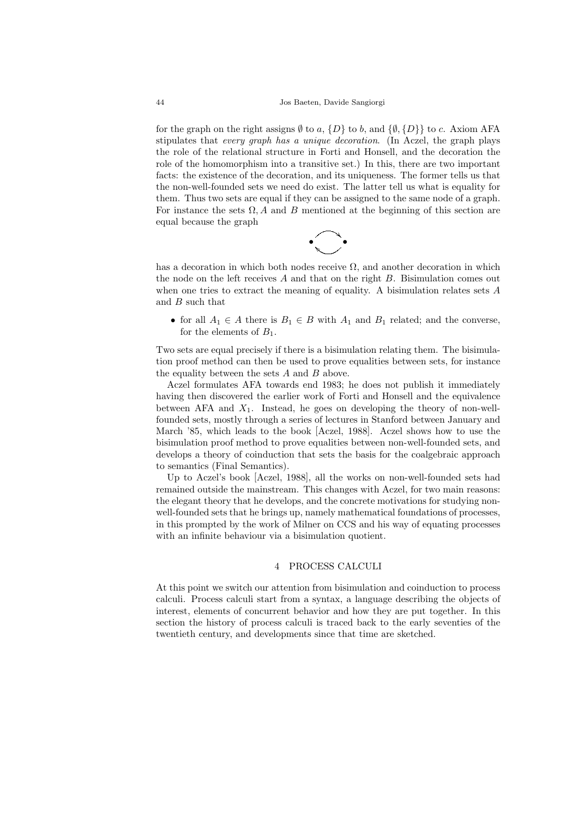for the graph on the right assigns  $\emptyset$  to a,  $\{D\}$  to b, and  $\{\emptyset, \{D\}\}\$  to c. Axiom AFA stipulates that every graph has a unique decoration. (In Aczel, the graph plays the role of the relational structure in Forti and Honsell, and the decoration the role of the homomorphism into a transitive set.) In this, there are two important facts: the existence of the decoration, and its uniqueness. The former tells us that the non-well-founded sets we need do exist. The latter tell us what is equality for them. Thus two sets are equal if they can be assigned to the same node of a graph. For instance the sets  $\Omega$ , A and B mentioned at the beginning of this section are equal because the graph



has a decoration in which both nodes receive  $\Omega$ , and another decoration in which the node on the left receives A and that on the right B. Bisimulation comes out when one tries to extract the meaning of equality. A bisimulation relates sets  $A$ and  $B$  such that

• for all  $A_1 \in A$  there is  $B_1 \in B$  with  $A_1$  and  $B_1$  related; and the converse, for the elements of  $B_1$ .

Two sets are equal precisely if there is a bisimulation relating them. The bisimulation proof method can then be used to prove equalities between sets, for instance the equality between the sets  $A$  and  $B$  above.

Aczel formulates AFA towards end 1983; he does not publish it immediately having then discovered the earlier work of Forti and Honsell and the equivalence between AFA and  $X_1$ . Instead, he goes on developing the theory of non-wellfounded sets, mostly through a series of lectures in Stanford between January and March '85, which leads to the book [Aczel, 1988]. Aczel shows how to use the bisimulation proof method to prove equalities between non-well-founded sets, and develops a theory of coinduction that sets the basis for the coalgebraic approach to semantics (Final Semantics).

Up to Aczel's book [Aczel, 1988], all the works on non-well-founded sets had remained outside the mainstream. This changes with Aczel, for two main reasons: the elegant theory that he develops, and the concrete motivations for studying nonwell-founded sets that he brings up, namely mathematical foundations of processes, in this prompted by the work of Milner on CCS and his way of equating processes with an infinite behaviour via a bisimulation quotient.

#### 4 PROCESS CALCULI

At this point we switch our attention from bisimulation and coinduction to process calculi. Process calculi start from a syntax, a language describing the objects of interest, elements of concurrent behavior and how they are put together. In this section the history of process calculi is traced back to the early seventies of the twentieth century, and developments since that time are sketched.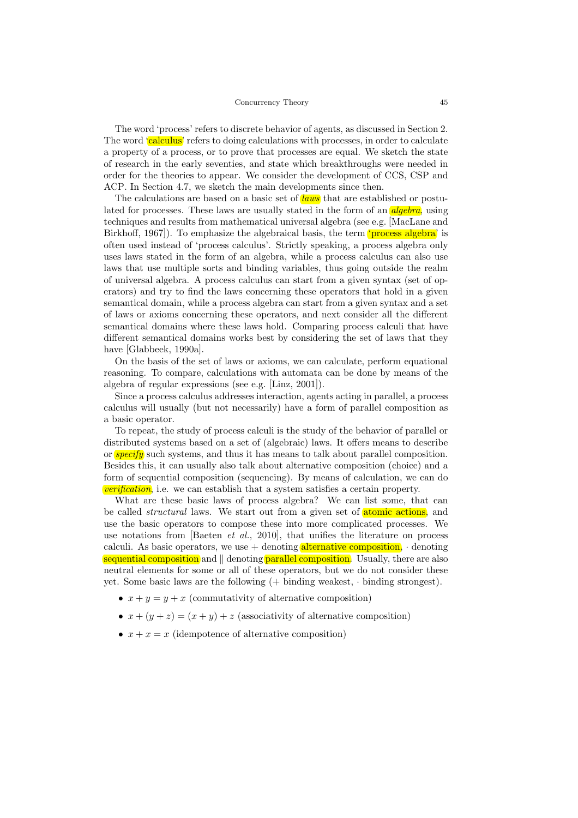#### Concurrency Theory 45

The word 'process' refers to discrete behavior of agents, as discussed in Section 2. The word 'calculus' refers to doing calculations with processes, in order to calculate a property of a process, or to prove that processes are equal. We sketch the state of research in the early seventies, and state which breakthroughs were needed in order for the theories to appear. We consider the development of CCS, CSP and ACP. In Section 4.7, we sketch the main developments since then.

The calculations are based on a basic set of **laws** that are established or postulated for processes. These laws are usually stated in the form of an  $algebra$ , using techniques and results from mathematical universal algebra (see e.g. [MacLane and Birkhoff, 1967). To emphasize the algebraical basis, the term 'process algebra' is often used instead of 'process calculus'. Strictly speaking, a process algebra only uses laws stated in the form of an algebra, while a process calculus can also use laws that use multiple sorts and binding variables, thus going outside the realm of universal algebra. A process calculus can start from a given syntax (set of operators) and try to find the laws concerning these operators that hold in a given semantical domain, while a process algebra can start from a given syntax and a set of laws or axioms concerning these operators, and next consider all the different semantical domains where these laws hold. Comparing process calculi that have different semantical domains works best by considering the set of laws that they have [Glabbeek, 1990a].

On the basis of the set of laws or axioms, we can calculate, perform equational reasoning. To compare, calculations with automata can be done by means of the algebra of regular expressions (see e.g. [Linz, 2001]).

Since a process calculus addresses interaction, agents acting in parallel, a process calculus will usually (but not necessarily) have a form of parallel composition as a basic operator.

To repeat, the study of process calculi is the study of the behavior of parallel or distributed systems based on a set of (algebraic) laws. It offers means to describe or specify such systems, and thus it has means to talk about parallel composition. Besides this, it can usually also talk about alternative composition (choice) and a form of sequential composition (sequencing). By means of calculation, we can do **verification**, i.e. we can establish that a system satisfies a certain property.

What are these basic laws of process algebra? We can list some, that can be called structural laws. We start out from a given set of atomic actions, and use the basic operators to compose these into more complicated processes. We use notations from [Baeten *et al.*, 2010], that unifies the literature on process calculi. As basic operators, we use  $+$  denoting alternative composition,  $\cdot$  denoting sequential composition and  $\parallel$  denoting parallel composition. Usually, there are also neutral elements for some or all of these operators, but we do not consider these yet. Some basic laws are the following (+ binding weakest, · binding strongest).

- $x + y = y + x$  (commutativity of alternative composition)
- $x + (y + z) = (x + y) + z$  (associativity of alternative composition)
- $x + x = x$  (idempotence of alternative composition)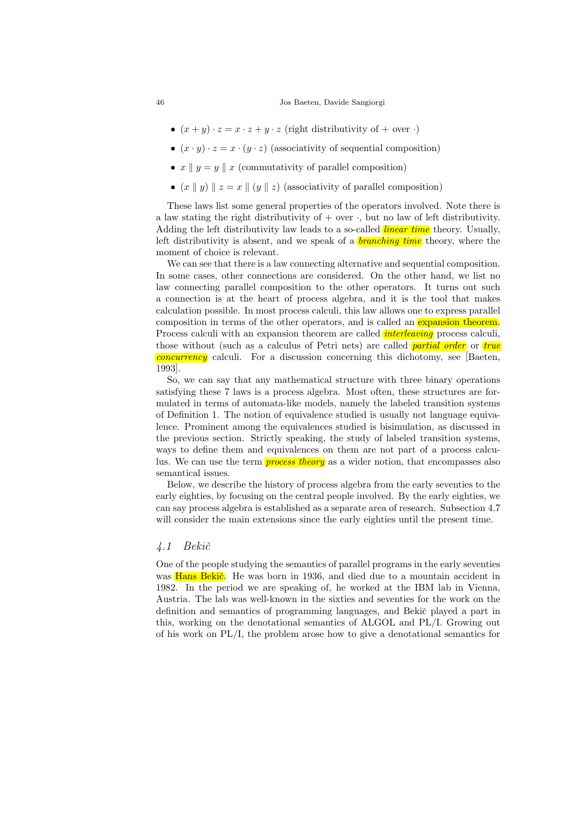- $(x + y) \cdot z = x \cdot z + y \cdot z$  (right distributivity of + over ·)
- $(x \cdot y) \cdot z = x \cdot (y \cdot z)$  (associativity of sequential composition)
- $x \parallel y = y \parallel x$  (commutativity of parallel composition)
- $(x \parallel y) \parallel z = x \parallel (y \parallel z)$  (associativity of parallel composition)

These laws list some general properties of the operators involved. Note there is a law stating the right distributivity of  $+$  over  $\cdot$ , but no law of left distributivity. Adding the left distributivity law leads to a so-called *linear time* theory. Usually, left distributivity is absent, and we speak of a *branching time* theory, where the moment of choice is relevant.

We can see that there is a law connecting alternative and sequential composition. In some cases, other connections are considered. On the other hand, we list no law connecting parallel composition to the other operators. It turns out such a connection is at the heart of process algebra, and it is the tool that makes calculation possible. In most process calculi, this law allows one to express parallel composition in terms of the other operators, and is called an **expansion theorem**. Process calculi with an expansion theorem are called *interleaving* process calculi, those without (such as a calculus of Petri nets) are called *partial order* or *true* concurrency calculi. For a discussion concerning this dichotomy, see [Baeten, 1993].

So, we can say that any mathematical structure with three binary operations satisfying these 7 laws is a process algebra. Most often, these structures are formulated in terms of automata-like models, namely the labeled transition systems of Definition 1. The notion of equivalence studied is usually not language equivalence. Prominent among the equivalences studied is bisimulation, as discussed in the previous section. Strictly speaking, the study of labeled transition systems, ways to define them and equivalences on them are not part of a process calculus. We can use the term *process theory* as a wider notion, that encompasses also semantical issues.

Below, we describe the history of process algebra from the early seventies to the early eighties, by focusing on the central people involved. By the early eighties, we can say process algebra is established as a separate area of research. Subsection 4.7 will consider the main extensions since the early eighties until the present time.

# 4.1 Bekiˇc

One of the people studying the semantics of parallel programs in the early seventies was Hans Bekič. He was born in 1936, and died due to a mountain accident in 1982. In the period we are speaking of, he worked at the IBM lab in Vienna, Austria. The lab was well-known in the sixties and seventies for the work on the definition and semantics of programming languages, and Bekič played a part in this, working on the denotational semantics of ALGOL and PL/I. Growing out of his work on PL/I, the problem arose how to give a denotational semantics for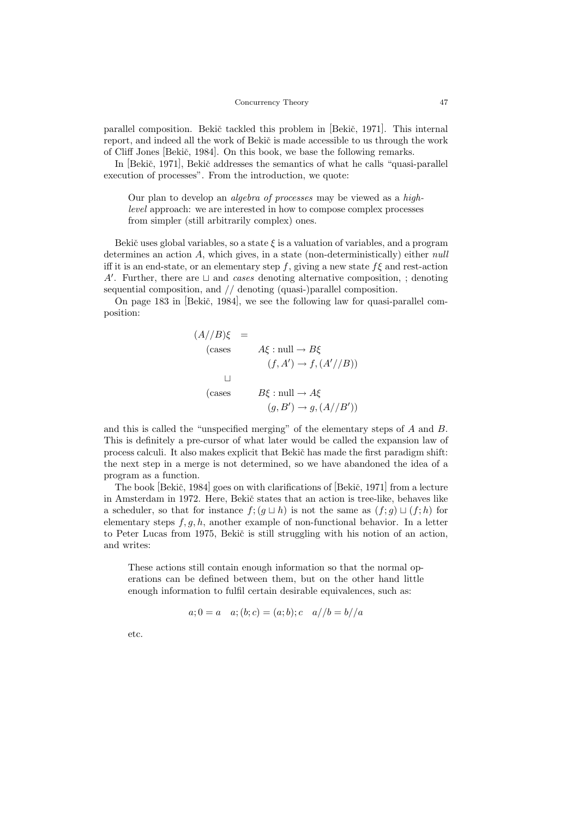parallel composition. Bekič tackled this problem in [Bekič, 1971]. This internal report, and indeed all the work of Bekič is made accessible to us through the work of Cliff Jones Bekič, 1984. On this book, we base the following remarks.

In [Bekič, 1971], Bekič addresses the semantics of what he calls "quasi-parallel execution of processes". From the introduction, we quote:

Our plan to develop an algebra of processes may be viewed as a highlevel approach: we are interested in how to compose complex processes from simpler (still arbitrarily complex) ones.

Bekič uses global variables, so a state  $\xi$  is a valuation of variables, and a program determines an action  $A$ , which gives, in a state (non-deterministically) either *null* iff it is an end-state, or an elementary step f, giving a new state  $f\xi$  and rest-action A'. Further, there are  $\sqcup$  and *cases* denoting alternative composition, ; denoting sequential composition, and // denoting (quasi-)parallel composition.

On page 183 in [Bekič, 1984], we see the following law for quasi-parallel composition:

$$
(A//B)\xi =
$$
\n
$$
(\text{cases} A\xi : \text{null} \to B\xi
$$
\n
$$
(f, A') \to f, (A'//B))
$$
\n
$$
\Box
$$
\n
$$
(\text{cases} B\xi : \text{null} \to A\xi
$$
\n
$$
(g, B') \to g, (A//B'))
$$

and this is called the "unspecified merging" of the elementary steps of A and B. This is definitely a pre-cursor of what later would be called the expansion law of process calculi. It also makes explicit that Bekič has made the first paradigm shift: the next step in a merge is not determined, so we have abandoned the idea of a program as a function.

The book [Bekič, 1984] goes on with clarifications of [Bekič, 1971] from a lecture in Amsterdam in 1972. Here, Bekič states that an action is tree-like, behaves like a scheduler, so that for instance  $f$ ;  $(g \sqcup h)$  is not the same as  $(f; g) \sqcup (f; h)$  for elementary steps  $f, g, h$ , another example of non-functional behavior. In a letter to Peter Lucas from 1975, Bekič is still struggling with his notion of an action, and writes:

These actions still contain enough information so that the normal operations can be defined between them, but on the other hand little enough information to fulfil certain desirable equivalences, such as:

$$
a; 0 = a
$$
  $a; (b; c) = (a; b); c$   $a//b = b//a$ 

etc.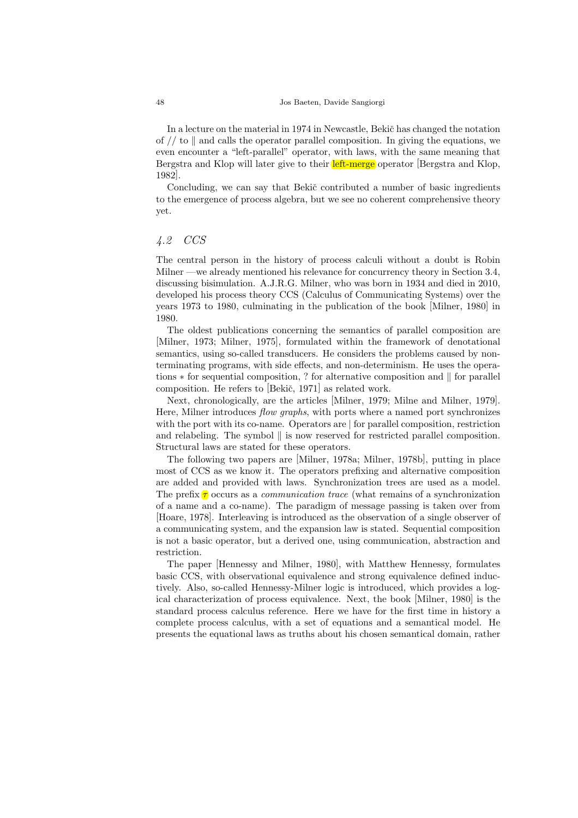In a lecture on the material in 1974 in Newcastle, Bekič has changed the notation of  $//$  to  $\parallel$  and calls the operator parallel composition. In giving the equations, we even encounter a "left-parallel" operator, with laws, with the same meaning that Bergstra and Klop will later give to their **left-merge** operator [Bergstra and Klop, 1982].

Concluding, we can say that Bekič contributed a number of basic ingredients to the emergence of process algebra, but we see no coherent comprehensive theory yet.

# 4.2 CCS

The central person in the history of process calculi without a doubt is Robin Milner —we already mentioned his relevance for concurrency theory in Section 3.4, discussing bisimulation. A.J.R.G. Milner, who was born in 1934 and died in 2010, developed his process theory CCS (Calculus of Communicating Systems) over the years 1973 to 1980, culminating in the publication of the book [Milner, 1980] in 1980.

The oldest publications concerning the semantics of parallel composition are [Milner, 1973; Milner, 1975], formulated within the framework of denotational semantics, using so-called transducers. He considers the problems caused by nonterminating programs, with side effects, and non-determinism. He uses the operations  $*$  for sequential composition, ? for alternative composition and  $\parallel$  for parallel composition. He refers to [Bekič, 1971] as related work.

Next, chronologically, are the articles [Milner, 1979; Milne and Milner, 1979]. Here, Milner introduces *flow graphs*, with ports where a named port synchronizes with the port with its co-name. Operators are  $\vert$  for parallel composition, restriction and relabeling. The symbol  $\parallel$  is now reserved for restricted parallel composition. Structural laws are stated for these operators.

The following two papers are [Milner, 1978a; Milner, 1978b], putting in place most of CCS as we know it. The operators prefixing and alternative composition are added and provided with laws. Synchronization trees are used as a model. The prefix  $\tau$  occurs as a *communication trace* (what remains of a synchronization of a name and a co-name). The paradigm of message passing is taken over from [Hoare, 1978]. Interleaving is introduced as the observation of a single observer of a communicating system, and the expansion law is stated. Sequential composition is not a basic operator, but a derived one, using communication, abstraction and restriction.

The paper [Hennessy and Milner, 1980], with Matthew Hennessy, formulates basic CCS, with observational equivalence and strong equivalence defined inductively. Also, so-called Hennessy-Milner logic is introduced, which provides a logical characterization of process equivalence. Next, the book [Milner, 1980] is the standard process calculus reference. Here we have for the first time in history a complete process calculus, with a set of equations and a semantical model. He presents the equational laws as truths about his chosen semantical domain, rather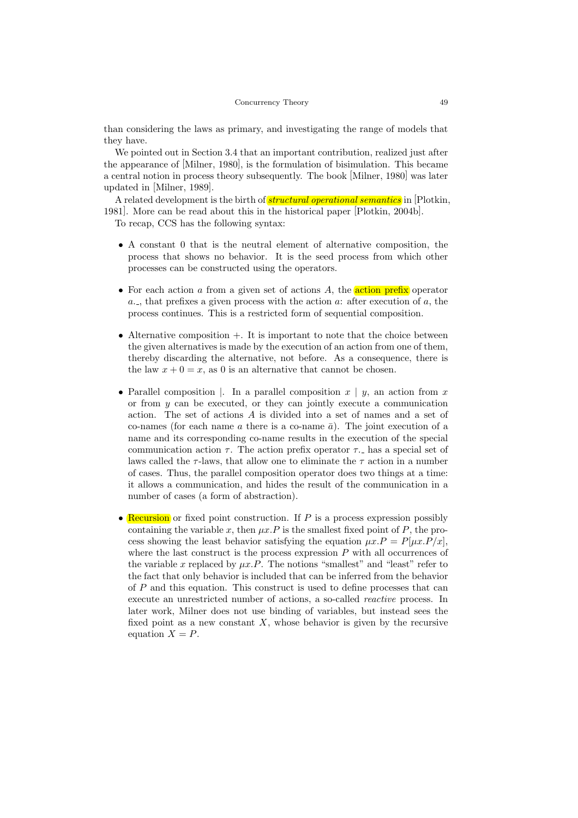than considering the laws as primary, and investigating the range of models that they have.

We pointed out in Section 3.4 that an important contribution, realized just after the appearance of [Milner, 1980], is the formulation of bisimulation. This became a central notion in process theory subsequently. The book [Milner, 1980] was later updated in [Milner, 1989].

A related development is the birth of *structural operational semantics* in [Plotkin, 1981]. More can be read about this in the historical paper [Plotkin, 2004b].

To recap, CCS has the following syntax:

- A constant 0 that is the neutral element of alternative composition, the process that shows no behavior. It is the seed process from which other processes can be constructed using the operators.
- For each action  $a$  from a given set of actions  $A$ , the **action prefix** operator  $a_{-}$ , that prefixes a given process with the action  $a$ : after execution of  $a$ , the process continues. This is a restricted form of sequential composition.
- Alternative composition  $+$ . It is important to note that the choice between the given alternatives is made by the execution of an action from one of them, thereby discarding the alternative, not before. As a consequence, there is the law  $x + 0 = x$ , as 0 is an alternative that cannot be chosen.
- Parallel composition |. In a parallel composition  $x \mid y$ , an action from x or from  $y$  can be executed, or they can jointly execute a communication action. The set of actions A is divided into a set of names and a set of co-names (for each name  $\alpha$  there is a co-name  $\bar{\alpha}$ ). The joint execution of a name and its corresponding co-name results in the execution of the special communication action  $\tau$ . The action prefix operator  $\tau$ . has a special set of laws called the  $\tau$ -laws, that allow one to eliminate the  $\tau$  action in a number of cases. Thus, the parallel composition operator does two things at a time: it allows a communication, and hides the result of the communication in a number of cases (a form of abstraction).
- Recursion or fixed point construction. If  $P$  is a process expression possibly containing the variable x, then  $\mu x.P$  is the smallest fixed point of P, the process showing the least behavior satisfying the equation  $\mu x.P = P[\mu x.P/x]$ , where the last construct is the process expression  $P$  with all occurrences of the variable x replaced by  $\mu x.P$ . The notions "smallest" and "least" refer to the fact that only behavior is included that can be inferred from the behavior of P and this equation. This construct is used to define processes that can execute an unrestricted number of actions, a so-called reactive process. In later work, Milner does not use binding of variables, but instead sees the fixed point as a new constant  $X$ , whose behavior is given by the recursive equation  $X = P$ .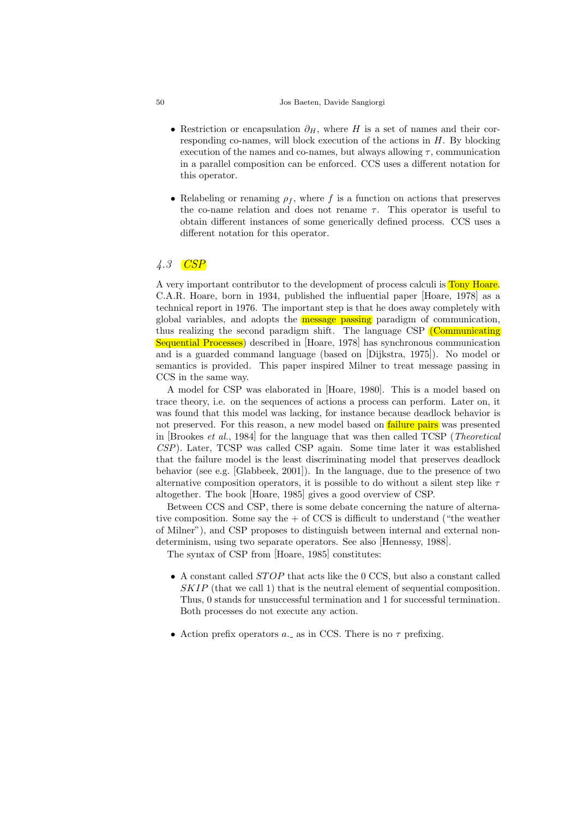#### 50 Jos Baeten, Davide Sangiorgi

- Restriction or encapsulation  $\partial_H$ , where H is a set of names and their corresponding co-names, will block execution of the actions in  $H$ . By blocking execution of the names and co-names, but always allowing  $\tau$ , communication in a parallel composition can be enforced. CCS uses a different notation for this operator.
- Relabeling or renaming  $\rho_f$ , where f is a function on actions that preserves the co-name relation and does not rename  $\tau$ . This operator is useful to obtain different instances of some generically defined process. CCS uses a different notation for this operator.

# 4.3 CSP

A very important contributor to the development of process calculi is Tony Hoare. C.A.R. Hoare, born in 1934, published the influential paper [Hoare, 1978] as a technical report in 1976. The important step is that he does away completely with global variables, and adopts the message passing paradigm of communication, thus realizing the second paradigm shift. The language CSP (Communicating Sequential Processes) described in [Hoare, 1978] has synchronous communication and is a guarded command language (based on [Dijkstra, 1975]). No model or semantics is provided. This paper inspired Milner to treat message passing in CCS in the same way.

A model for CSP was elaborated in [Hoare, 1980]. This is a model based on trace theory, i.e. on the sequences of actions a process can perform. Later on, it was found that this model was lacking, for instance because deadlock behavior is not preserved. For this reason, a new model based on *failure pairs* was presented in [Brookes et al., 1984] for the language that was then called TCSP (Theoretical CSP). Later, TCSP was called CSP again. Some time later it was established that the failure model is the least discriminating model that preserves deadlock behavior (see e.g. [Glabbeek, 2001]). In the language, due to the presence of two alternative composition operators, it is possible to do without a silent step like  $\tau$ altogether. The book [Hoare, 1985] gives a good overview of CSP.

Between CCS and CSP, there is some debate concerning the nature of alternative composition. Some say the  $+$  of CCS is difficult to understand ("the weather") of Milner"), and CSP proposes to distinguish between internal and external nondeterminism, using two separate operators. See also [Hennessy, 1988].

The syntax of CSP from [Hoare, 1985] constitutes:

- A constant called STOP that acts like the 0 CCS, but also a constant called SKIP (that we call 1) that is the neutral element of sequential composition. Thus, 0 stands for unsuccessful termination and 1 for successful termination. Both processes do not execute any action.
- Action prefix operators a. as in CCS. There is no  $\tau$  prefixing.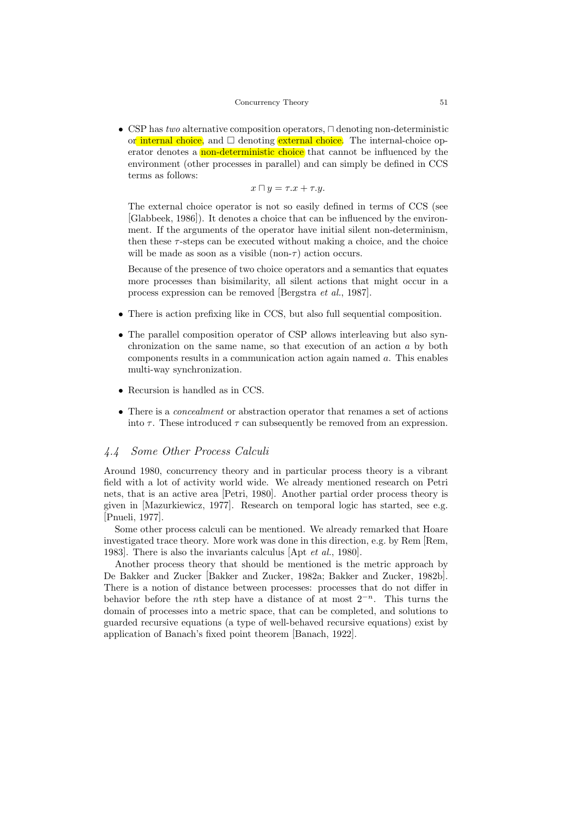• CSP has two alternative composition operators, ⊓ denoting non-deterministic or internal choice, and  $\square$  denoting external choice. The internal-choice operator denotes a non-deterministic choice that cannot be influenced by the environment (other processes in parallel) and can simply be defined in CCS terms as follows:

$$
x\sqcap y=\tau.x+\tau.y.
$$

The external choice operator is not so easily defined in terms of CCS (see [Glabbeek, 1986]). It denotes a choice that can be influenced by the environment. If the arguments of the operator have initial silent non-determinism, then these  $\tau$ -steps can be executed without making a choice, and the choice will be made as soon as a visible (non- $\tau$ ) action occurs.

Because of the presence of two choice operators and a semantics that equates more processes than bisimilarity, all silent actions that might occur in a process expression can be removed [Bergstra et al., 1987].

- There is action prefixing like in CCS, but also full sequential composition.
- The parallel composition operator of CSP allows interleaving but also synchronization on the same name, so that execution of an action a by both components results in a communication action again named a. This enables multi-way synchronization.
- Recursion is handled as in CCS.
- There is a *concealment* or abstraction operator that renames a set of actions into  $\tau$ . These introduced  $\tau$  can subsequently be removed from an expression.

## 4.4 Some Other Process Calculi

Around 1980, concurrency theory and in particular process theory is a vibrant field with a lot of activity world wide. We already mentioned research on Petri nets, that is an active area [Petri, 1980]. Another partial order process theory is given in [Mazurkiewicz, 1977]. Research on temporal logic has started, see e.g. [Pnueli, 1977].

Some other process calculi can be mentioned. We already remarked that Hoare investigated trace theory. More work was done in this direction, e.g. by Rem [Rem, 1983]. There is also the invariants calculus [Apt et al., 1980].

Another process theory that should be mentioned is the metric approach by De Bakker and Zucker [Bakker and Zucker, 1982a; Bakker and Zucker, 1982b]. There is a notion of distance between processes: processes that do not differ in behavior before the *n*th step have a distance of at most  $2^{-n}$ . This turns the domain of processes into a metric space, that can be completed, and solutions to guarded recursive equations (a type of well-behaved recursive equations) exist by application of Banach's fixed point theorem [Banach, 1922].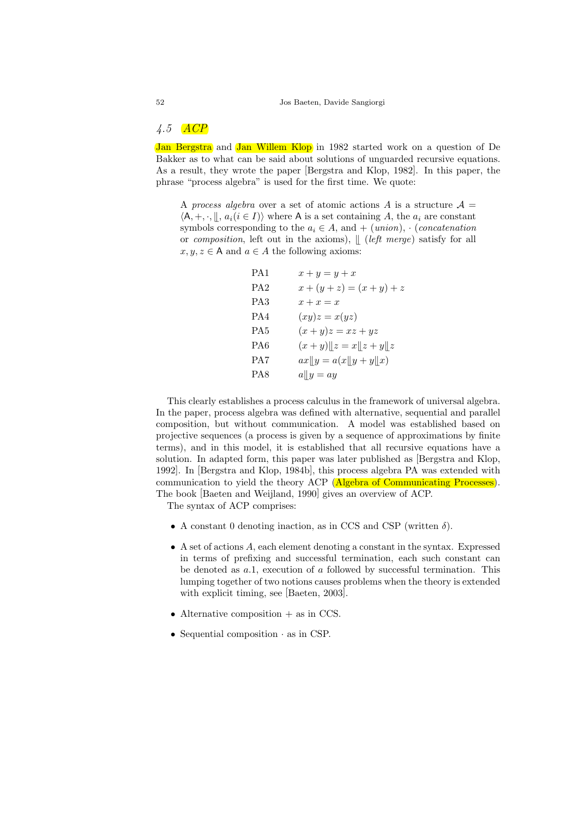# 4.5 ACP

Jan Bergstra and Jan Willem Klop in 1982 started work on a question of De Bakker as to what can be said about solutions of unguarded recursive equations. As a result, they wrote the paper [Bergstra and Klop, 1982]. In this paper, the phrase "process algebra" is used for the first time. We quote:

A process algebra over a set of atomic actions A is a structure  $\mathcal{A} =$  $\langle A, +, \cdot, \|, a_i (i \in I) \rangle$  where A is a set containing A, the  $a_i$  are constant symbols corresponding to the  $a_i \in A$ , and  $+$  (union),  $\cdot$  (concatenation or *composition*, left out in the axioms),  $\parallel$  (*left merge*) satisfy for all  $x, y, z \in A$  and  $a \in A$  the following axioms:

| PA1             | $x + y = y + x$                  |
|-----------------|----------------------------------|
| PA <sub>2</sub> | $x + (y + z) = (x + y) + z$      |
| PA3             | $x + x = x$                      |
| PA4             | $(xy)z = x(yz)$                  |
| PA5             | $(x+y)z = xz + yz$               |
| PA6             | $(x + y) \  z = x \  z + y \  z$ |
| PA7             | $ax  y = a(x  y + y  x)$         |
| PA8             | $a  y = ay$                      |
|                 |                                  |

This clearly establishes a process calculus in the framework of universal algebra. In the paper, process algebra was defined with alternative, sequential and parallel composition, but without communication. A model was established based on projective sequences (a process is given by a sequence of approximations by finite terms), and in this model, it is established that all recursive equations have a solution. In adapted form, this paper was later published as [Bergstra and Klop, 1992]. In [Bergstra and Klop, 1984b], this process algebra PA was extended with communication to yield the theory ACP (Algebra of Communicating Processes). The book [Baeten and Weijland, 1990] gives an overview of ACP.

The syntax of ACP comprises:

- A constant 0 denoting inaction, as in CCS and CSP (written  $\delta$ ).
- A set of actions A, each element denoting a constant in the syntax. Expressed in terms of prefixing and successful termination, each such constant can be denoted as  $a.1$ , execution of  $a$  followed by successful termination. This lumping together of two notions causes problems when the theory is extended with explicit timing, see [Baeten, 2003].
- Alternative composition  $+$  as in CCS.
- Sequential composition · as in CSP.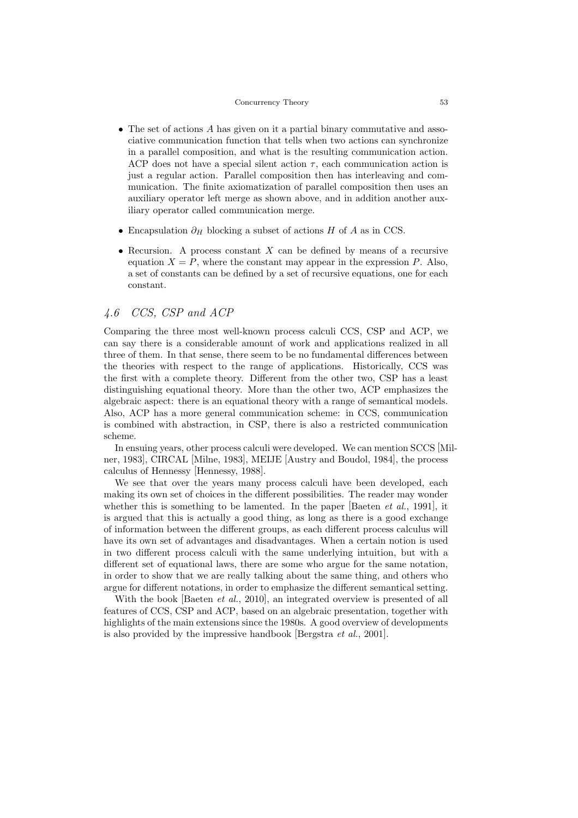#### Concurrency Theory 53

- The set of actions A has given on it a partial binary commutative and associative communication function that tells when two actions can synchronize in a parallel composition, and what is the resulting communication action. ACP does not have a special silent action  $\tau$ , each communication action is just a regular action. Parallel composition then has interleaving and communication. The finite axiomatization of parallel composition then uses an auxiliary operator left merge as shown above, and in addition another auxiliary operator called communication merge.
- Encapsulation  $\partial_H$  blocking a subset of actions H of A as in CCS.
- Recursion. A process constant  $X$  can be defined by means of a recursive equation  $X = P$ , where the constant may appear in the expression P. Also, a set of constants can be defined by a set of recursive equations, one for each constant.

# 4.6 CCS, CSP and ACP

Comparing the three most well-known process calculi CCS, CSP and ACP, we can say there is a considerable amount of work and applications realized in all three of them. In that sense, there seem to be no fundamental differences between the theories with respect to the range of applications. Historically, CCS was the first with a complete theory. Different from the other two, CSP has a least distinguishing equational theory. More than the other two, ACP emphasizes the algebraic aspect: there is an equational theory with a range of semantical models. Also, ACP has a more general communication scheme: in CCS, communication is combined with abstraction, in CSP, there is also a restricted communication scheme.

In ensuing years, other process calculi were developed. We can mention SCCS [Milner, 1983], CIRCAL [Milne, 1983], MEIJE [Austry and Boudol, 1984], the process calculus of Hennessy [Hennessy, 1988].

We see that over the years many process calculi have been developed, each making its own set of choices in the different possibilities. The reader may wonder whether this is something to be lamented. In the paper  $[Ba^{\dagger}$  and  $Ba^{\dagger}$ , 1991, it is argued that this is actually a good thing, as long as there is a good exchange of information between the different groups, as each different process calculus will have its own set of advantages and disadvantages. When a certain notion is used in two different process calculi with the same underlying intuition, but with a different set of equational laws, there are some who argue for the same notation, in order to show that we are really talking about the same thing, and others who argue for different notations, in order to emphasize the different semantical setting.

With the book [Baeten *et al.*, 2010], an integrated overview is presented of all features of CCS, CSP and ACP, based on an algebraic presentation, together with highlights of the main extensions since the 1980s. A good overview of developments is also provided by the impressive handbook [Bergstra et al., 2001].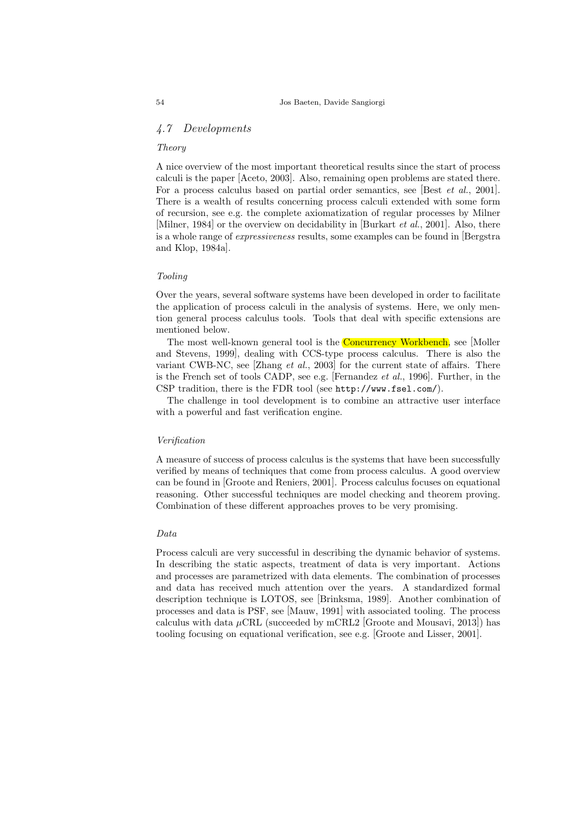# 4.7 Developments

#### Theory

A nice overview of the most important theoretical results since the start of process calculi is the paper [Aceto, 2003]. Also, remaining open problems are stated there. For a process calculus based on partial order semantics, see [Best *et al.*, 2001]. There is a wealth of results concerning process calculi extended with some form of recursion, see e.g. the complete axiomatization of regular processes by Milner [Milner, 1984] or the overview on decidability in [Burkart et al., 2001]. Also, there is a whole range of expressiveness results, some examples can be found in [Bergstra and Klop, 1984a].

#### Tooling

Over the years, several software systems have been developed in order to facilitate the application of process calculi in the analysis of systems. Here, we only mention general process calculus tools. Tools that deal with specific extensions are mentioned below.

The most well-known general tool is the **Concurrency Workbench**, see [Moller and Stevens, 1999], dealing with CCS-type process calculus. There is also the variant CWB-NC, see [Zhang et al., 2003] for the current state of affairs. There is the French set of tools CADP, see e.g. [Fernandez et al., 1996]. Further, in the CSP tradition, there is the FDR tool (see http://www.fsel.com/).

The challenge in tool development is to combine an attractive user interface with a powerful and fast verification engine.

#### Verification

A measure of success of process calculus is the systems that have been successfully verified by means of techniques that come from process calculus. A good overview can be found in [Groote and Reniers, 2001]. Process calculus focuses on equational reasoning. Other successful techniques are model checking and theorem proving. Combination of these different approaches proves to be very promising.

#### Data

Process calculi are very successful in describing the dynamic behavior of systems. In describing the static aspects, treatment of data is very important. Actions and processes are parametrized with data elements. The combination of processes and data has received much attention over the years. A standardized formal description technique is LOTOS, see [Brinksma, 1989]. Another combination of processes and data is PSF, see [Mauw, 1991] with associated tooling. The process calculus with data  $\mu$ CRL (succeeded by mCRL2 [Groote and Mousavi, 2013]) has tooling focusing on equational verification, see e.g. [Groote and Lisser, 2001].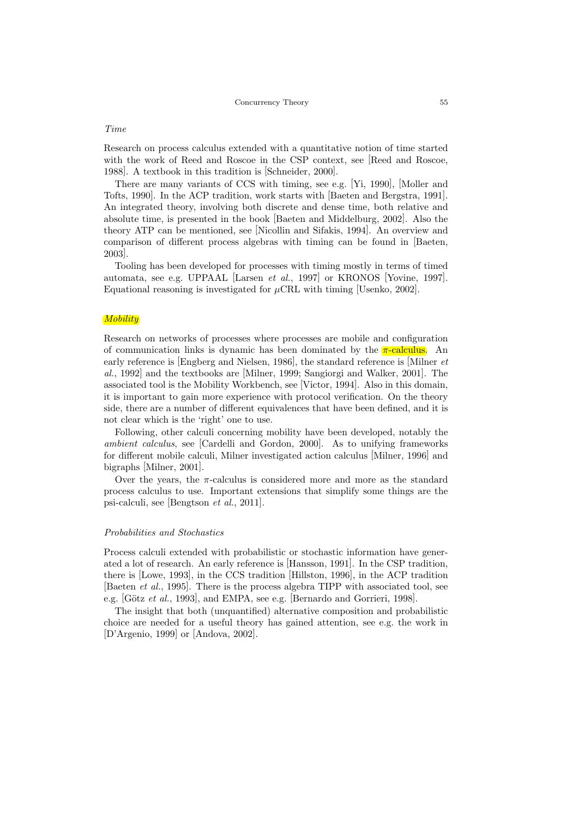#### Time

Research on process calculus extended with a quantitative notion of time started with the work of Reed and Roscoe in the CSP context, see [Reed and Roscoe, 1988]. A textbook in this tradition is [Schneider, 2000].

There are many variants of CCS with timing, see e.g. [Yi, 1990], [Moller and Tofts, 1990]. In the ACP tradition, work starts with [Baeten and Bergstra, 1991]. An integrated theory, involving both discrete and dense time, both relative and absolute time, is presented in the book [Baeten and Middelburg, 2002]. Also the theory ATP can be mentioned, see [Nicollin and Sifakis, 1994]. An overview and comparison of different process algebras with timing can be found in [Baeten, 2003].

Tooling has been developed for processes with timing mostly in terms of timed automata, see e.g. UPPAAL [Larsen et al., 1997] or KRONOS [Yovine, 1997]. Equational reasoning is investigated for  $\mu$ CRL with timing [Usenko, 2002].

# **Mobility**

Research on networks of processes where processes are mobile and configuration of communication links is dynamic has been dominated by the  $\pi$ -calculus. An early reference is Engberg and Nielsen, 1986, the standard reference is Milner *et* al., 1992] and the textbooks are [Milner, 1999; Sangiorgi and Walker, 2001]. The associated tool is the Mobility Workbench, see [Victor, 1994]. Also in this domain, it is important to gain more experience with protocol verification. On the theory side, there are a number of different equivalences that have been defined, and it is not clear which is the 'right' one to use.

Following, other calculi concerning mobility have been developed, notably the ambient calculus, see [Cardelli and Gordon, 2000]. As to unifying frameworks for different mobile calculi, Milner investigated action calculus [Milner, 1996] and bigraphs [Milner, 2001].

Over the years, the  $\pi$ -calculus is considered more and more as the standard process calculus to use. Important extensions that simplify some things are the psi-calculi, see [Bengtson et al., 2011].

#### Probabilities and Stochastics

Process calculi extended with probabilistic or stochastic information have generated a lot of research. An early reference is [Hansson, 1991]. In the CSP tradition, there is [Lowe, 1993], in the CCS tradition [Hillston, 1996], in the ACP tradition [Baeten et al., 1995]. There is the process algebra TIPP with associated tool, see e.g. [Götz et al., 1993], and EMPA, see e.g. [Bernardo and Gorrieri, 1998].

The insight that both (unquantified) alternative composition and probabilistic choice are needed for a useful theory has gained attention, see e.g. the work in [D'Argenio, 1999] or [Andova, 2002].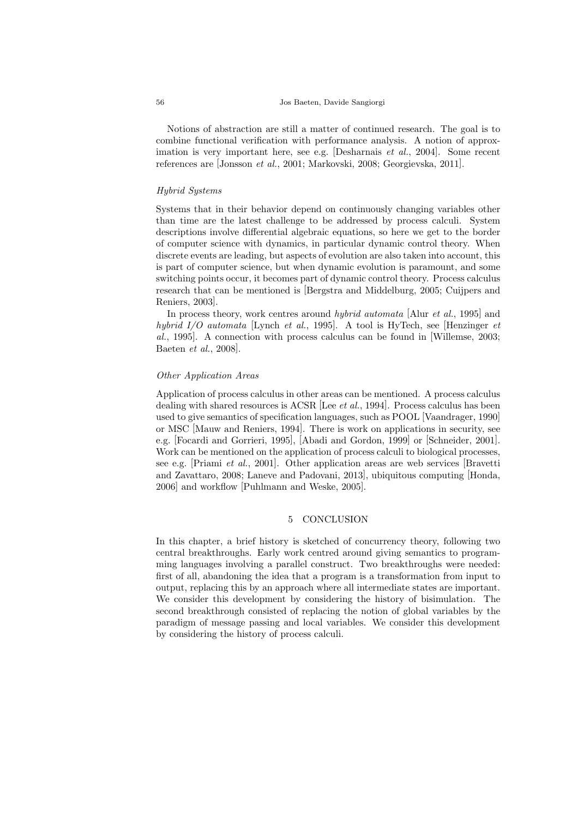Notions of abstraction are still a matter of continued research. The goal is to combine functional verification with performance analysis. A notion of approximation is very important here, see e.g. [Desharnais et al., 2004]. Some recent references are [Jonsson et al., 2001; Markovski, 2008; Georgievska, 2011].

#### Hybrid Systems

Systems that in their behavior depend on continuously changing variables other than time are the latest challenge to be addressed by process calculi. System descriptions involve differential algebraic equations, so here we get to the border of computer science with dynamics, in particular dynamic control theory. When discrete events are leading, but aspects of evolution are also taken into account, this is part of computer science, but when dynamic evolution is paramount, and some switching points occur, it becomes part of dynamic control theory. Process calculus research that can be mentioned is [Bergstra and Middelburg, 2005; Cuijpers and Reniers, 2003].

In process theory, work centres around *hybrid automata* [Alur *et al.*, 1995] and hybrid I/O automata [Lynch et al., 1995]. A tool is HyTech, see [Henzinger et al., 1995]. A connection with process calculus can be found in [Willemse, 2003; Baeten et al., 2008].

# Other Application Areas

Application of process calculus in other areas can be mentioned. A process calculus dealing with shared resources is ACSR Lee *et al.*, 1994. Process calculus has been used to give semantics of specification languages, such as POOL [Vaandrager, 1990] or MSC [Mauw and Reniers, 1994]. There is work on applications in security, see e.g. [Focardi and Gorrieri, 1995], [Abadi and Gordon, 1999] or [Schneider, 2001]. Work can be mentioned on the application of process calculi to biological processes, see e.g. [Priami *et al.*, 2001]. Other application areas are web services [Bravetti and Zavattaro, 2008; Laneve and Padovani, 2013], ubiquitous computing [Honda, 2006] and workflow [Puhlmann and Weske, 2005].

# 5 CONCLUSION

In this chapter, a brief history is sketched of concurrency theory, following two central breakthroughs. Early work centred around giving semantics to programming languages involving a parallel construct. Two breakthroughs were needed: first of all, abandoning the idea that a program is a transformation from input to output, replacing this by an approach where all intermediate states are important. We consider this development by considering the history of bisimulation. The second breakthrough consisted of replacing the notion of global variables by the paradigm of message passing and local variables. We consider this development by considering the history of process calculi.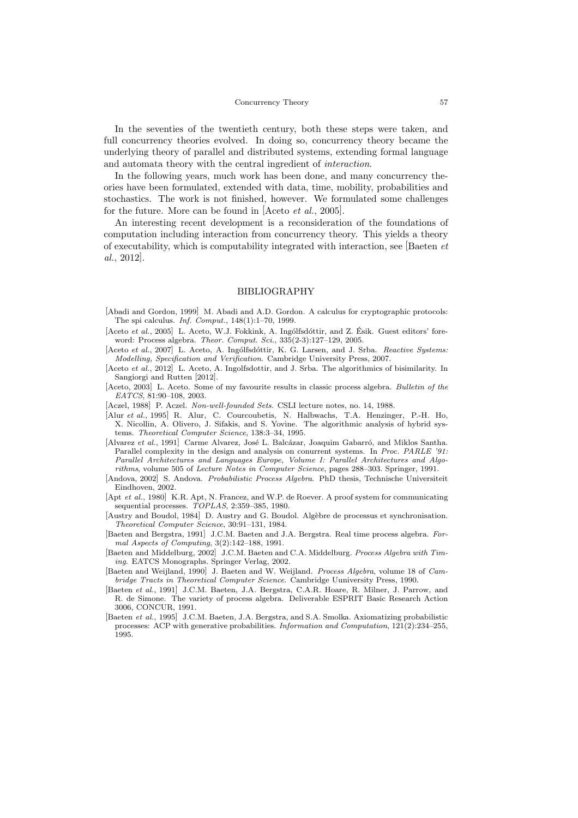In the seventies of the twentieth century, both these steps were taken, and full concurrency theories evolved. In doing so, concurrency theory became the underlying theory of parallel and distributed systems, extending formal language and automata theory with the central ingredient of interaction.

In the following years, much work has been done, and many concurrency theories have been formulated, extended with data, time, mobility, probabilities and stochastics. The work is not finished, however. We formulated some challenges for the future. More can be found in [Aceto et al., 2005].

An interesting recent development is a reconsideration of the foundations of computation including interaction from concurrency theory. This yields a theory of executability, which is computability integrated with interaction, see [Baeten et al., 2012].

# BIBLIOGRAPHY

- [Abadi and Gordon, 1999] M. Abadi and A.D. Gordon. A calculus for cryptographic protocols: The spi calculus. *Inf. Comput.*, 148(1):1–70, 1999.
- [Aceto *et al.*, 2005] L. Aceto, W.J. Fokkink, A. Ingólfsdóttir, and Z. Ésik. Guest editors' foreword: Process algebra. *Theor. Comput. Sci.*, 335(2-3):127–129, 2005.
- [Aceto *et al.*, 2007] L. Aceto, A. Ingólfsdóttir, K. G. Larsen, and J. Srba. Reactive Systems: *Modelling, Specification and Verification*. Cambridge University Press, 2007.
- [Aceto *et al.*, 2012] L. Aceto, A. Ingolfsdottir, and J. Srba. The algorithmics of bisimilarity. In Sangiorgi and Rutten [2012].
- [Aceto, 2003] L. Aceto. Some of my favourite results in classic process algebra. *Bulletin of the EATCS*, 81:90–108, 2003.
- [Aczel, 1988] P. Aczel. *Non-well-founded Sets*. CSLI lecture notes, no. 14, 1988.
- [Alur *et al.*, 1995] R. Alur, C. Courcoubetis, N. Halbwachs, T.A. Henzinger, P.-H. Ho, X. Nicollin, A. Olivero, J. Sifakis, and S. Yovine. The algorithmic analysis of hybrid systems. *Theoretical Computer Science*, 138:3–34, 1995.
- [Alvarez *et al.*, 1991] Carme Alvarez, José L. Balcázar, Joaquim Gabarró, and Miklos Santha. Parallel complexity in the design and analysis on conurrent systems. In *Proc. PARLE '91: Parallel Architectures and Languages Europe, Volume I: Parallel Architectures and Algorithms*, volume 505 of *Lecture Notes in Computer Science*, pages 288–303. Springer, 1991.
- [Andova, 2002] S. Andova. *Probabilistic Process Algebra*. PhD thesis, Technische Universiteit Eindhoven, 2002.
- [Apt *et al.*, 1980] K.R. Apt, N. Francez, and W.P. de Roever. A proof system for communicating sequential processes. *TOPLAS*, 2:359–385, 1980.
- [Austry and Boudol, 1984] D. Austry and G. Boudol. Algèbre de processus et synchronisation. *Theoretical Computer Science*, 30:91–131, 1984.
- [Baeten and Bergstra, 1991] J.C.M. Baeten and J.A. Bergstra. Real time process algebra. *Formal Aspects of Computing*, 3(2):142–188, 1991.
- [Baeten and Middelburg, 2002] J.C.M. Baeten and C.A. Middelburg. *Process Algebra with Timing*. EATCS Monographs. Springer Verlag, 2002.
- [Baeten and Weijland, 1990] J. Baeten and W. Weijland. *Process Algebra*, volume 18 of *Cambridge Tracts in Theoretical Computer Science*. Cambridge Uuniversity Press, 1990.
- [Baeten *et al.*, 1991] J.C.M. Baeten, J.A. Bergstra, C.A.R. Hoare, R. Milner, J. Parrow, and R. de Simone. The variety of process algebra. Deliverable ESPRIT Basic Research Action 3006, CONCUR, 1991.
- [Baeten *et al.*, 1995] J.C.M. Baeten, J.A. Bergstra, and S.A. Smolka. Axiomatizing probabilistic processes: ACP with generative probabilities. *Information and Computation*, 121(2):234–255, 1995.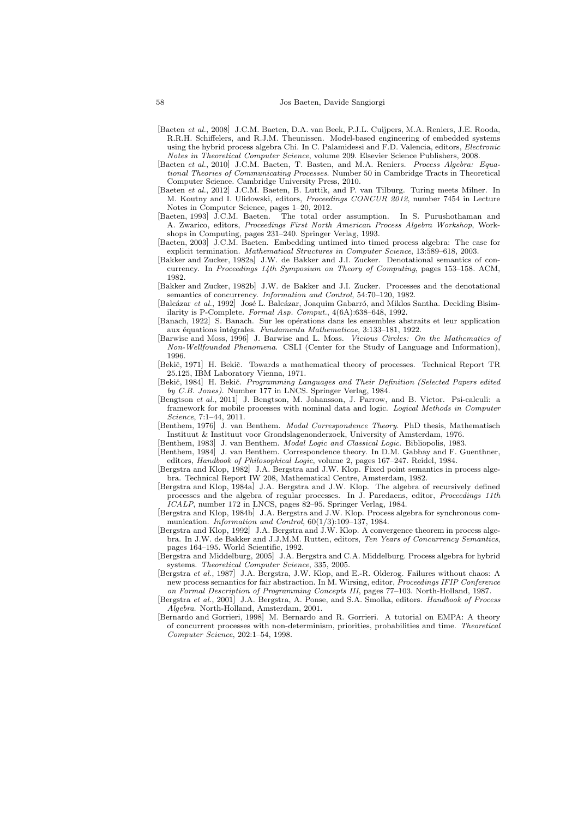- [Baeten *et al.*, 2008] J.C.M. Baeten, D.A. van Beek, P.J.L. Cuijpers, M.A. Reniers, J.E. Rooda, R.R.H. Schiffelers, and R.J.M. Theunissen. Model-based engineering of embedded systems using the hybrid process algebra Chi. In C. Palamidessi and F.D. Valencia, editors, *Electronic Notes in Theoretical Computer Science*, volume 209. Elsevier Science Publishers, 2008.
- [Baeten *et al.*, 2010] J.C.M. Baeten, T. Basten, and M.A. Reniers. *Process Algebra: Equational Theories of Communicating Processes*. Number 50 in Cambridge Tracts in Theoretical Computer Science. Cambridge University Press, 2010.
- [Baeten *et al.*, 2012] J.C.M. Baeten, B. Luttik, and P. van Tilburg. Turing meets Milner. In M. Koutny and I. Ulidowski, editors, *Proceedings CONCUR 2012*, number 7454 in Lecture Notes in Computer Science, pages 1–20, 2012.
- [Baeten, 1993] J.C.M. Baeten. The total order assumption. In S. Purushothaman and A. Zwarico, editors, *Proceedings First North American Process Algebra Workshop*, Workshops in Computing, pages 231–240. Springer Verlag, 1993.
- [Baeten, 2003] J.C.M. Baeten. Embedding untimed into timed process algebra: The case for explicit termination. *Mathematical Structures in Computer Science*, 13:589–618, 2003.
- [Bakker and Zucker, 1982a] J.W. de Bakker and J.I. Zucker. Denotational semantics of concurrency. In *Proceedings 14th Symposium on Theory of Computing*, pages 153–158. ACM, 1982.
- [Bakker and Zucker, 1982b] J.W. de Bakker and J.I. Zucker. Processes and the denotational semantics of concurrency. *Information and Control*, 54:70–120, 1982.
- [Balcázar *et al.*, 1992] José L. Balcázar, Joaquim Gabarró, and Miklos Santha. Deciding Bisimilarity is P-Complete. *Formal Asp. Comput.*, 4(6A):638–648, 1992.
- [Banach, 1922] S. Banach. Sur les op´erations dans les ensembles abstraits et leur application aux équations intégrales. *Fundamenta Mathematicae*, 3:133-181, 1922.
- [Barwise and Moss, 1996] J. Barwise and L. Moss. *Vicious Circles: On the Mathematics of Non-Wellfounded Phenomena*. CSLI (Center for the Study of Language and Information), 1996.
- [Bekič, 1971] H. Bekič. Towards a mathematical theory of processes. Technical Report TR 25.125, IBM Laboratory Vienna, 1971.
- [Bekiˇc, 1984] H. Bekiˇc. *Programming Languages and Their Definition (Selected Papers edited by C.B. Jones)*. Number 177 in LNCS. Springer Verlag, 1984.
- [Bengtson *et al.*, 2011] J. Bengtson, M. Johansson, J. Parrow, and B. Victor. Psi-calculi: a framework for mobile processes with nominal data and logic. *Logical Methods in Computer Science*, 7:1–44, 2011.
- [Benthem, 1976] J. van Benthem. *Modal Correspondence Theory*. PhD thesis, Mathematisch Instituut & Instituut voor Grondslagenonderzoek, University of Amsterdam, 1976.
- [Benthem, 1983] J. van Benthem. *Modal Logic and Classical Logic*. Bibliopolis, 1983.
- [Benthem, 1984] J. van Benthem. Correspondence theory. In D.M. Gabbay and F. Guenthner, editors, *Handbook of Philosophical Logic*, volume 2, pages 167–247. Reidel, 1984.
- [Bergstra and Klop, 1982] J.A. Bergstra and J.W. Klop. Fixed point semantics in process algebra. Technical Report IW 208, Mathematical Centre, Amsterdam, 1982.
- [Bergstra and Klop, 1984a] J.A. Bergstra and J.W. Klop. The algebra of recursively defined processes and the algebra of regular processes. In J. Paredaens, editor, *Proceedings 11th ICALP*, number 172 in LNCS, pages 82–95. Springer Verlag, 1984.
- [Bergstra and Klop, 1984b] J.A. Bergstra and J.W. Klop. Process algebra for synchronous communication. *Information and Control*, 60(1/3):109–137, 1984.
- [Bergstra and Klop, 1992] J.A. Bergstra and J.W. Klop. A convergence theorem in process algebra. In J.W. de Bakker and J.J.M.M. Rutten, editors, *Ten Years of Concurrency Semantics*, pages 164–195. World Scientific, 1992.
- [Bergstra and Middelburg, 2005] J.A. Bergstra and C.A. Middelburg. Process algebra for hybrid systems. *Theoretical Computer Science*, 335, 2005.
- [Bergstra *et al.*, 1987] J.A. Bergstra, J.W. Klop, and E.-R. Olderog. Failures without chaos: A new process semantics for fair abstraction. In M. Wirsing, editor, *Proceedings IFIP Conference on Formal Description of Programming Concepts III*, pages 77–103. North-Holland, 1987.
- [Bergstra *et al.*, 2001] J.A. Bergstra, A. Ponse, and S.A. Smolka, editors. *Handbook of Process Algebra*. North-Holland, Amsterdam, 2001.
- [Bernardo and Gorrieri, 1998] M. Bernardo and R. Gorrieri. A tutorial on EMPA: A theory of concurrent processes with non-determinism, priorities, probabilities and time. *Theoretical Computer Science*, 202:1–54, 1998.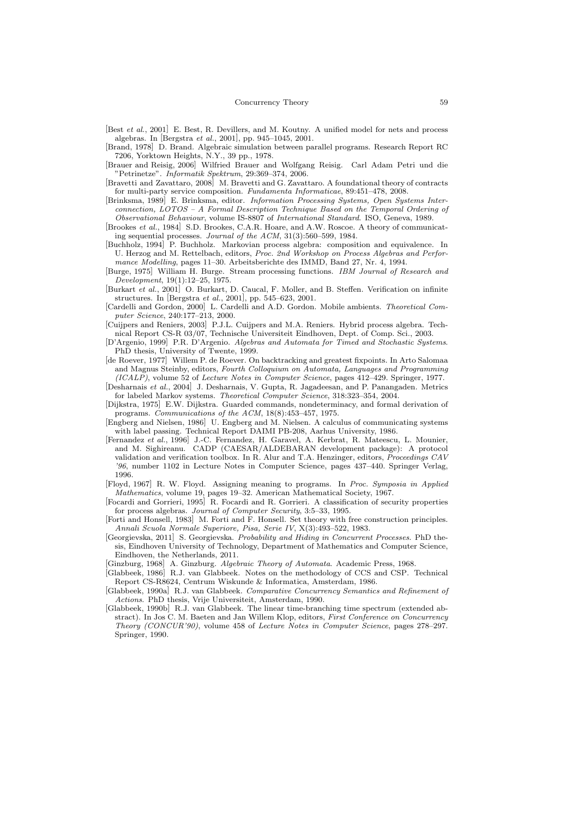- [Best *et al.*, 2001] E. Best, R. Devillers, and M. Koutny. A unified model for nets and process algebras. In [Bergstra *et al.*, 2001], pp. 945–1045, 2001.
- [Brand, 1978] D. Brand. Algebraic simulation between parallel programs. Research Report RC 7206, Yorktown Heights, N.Y., 39 pp., 1978.
- [Brauer and Reisig, 2006] Wilfried Brauer and Wolfgang Reisig. Carl Adam Petri und die "Petrinetze". *Informatik Spektrum*, 29:369–374, 2006.
- [Bravetti and Zavattaro, 2008] M. Bravetti and G. Zavattaro. A foundational theory of contracts for multi-party service composition. *Fundamenta Informaticae*, 89:451–478, 2008.
- [Brinksma, 1989] E. Brinksma, editor. *Information Processing Systems, Open Systems Interconnection, LOTOS – A Formal Description Technique Based on the Temporal Ordering of Observational Behaviour*, volume IS-8807 of *International Standard*. ISO, Geneva, 1989.
- [Brookes *et al.*, 1984] S.D. Brookes, C.A.R. Hoare, and A.W. Roscoe. A theory of communicating sequential processes. *Journal of the ACM*, 31(3):560–599, 1984.
- [Buchholz, 1994] P. Buchholz. Markovian process algebra: composition and equivalence. In U. Herzog and M. Rettelbach, editors, *Proc. 2nd Workshop on Process Algebras and Performance Modelling*, pages 11–30. Arbeitsberichte des IMMD, Band 27, Nr. 4, 1994.
- [Burge, 1975] William H. Burge. Stream processing functions. *IBM Journal of Research and Development*, 19(1):12–25, 1975.
- [Burkart *et al.*, 2001] O. Burkart, D. Caucal, F. Moller, and B. Steffen. Verification on infinite structures. In [Bergstra *et al.*, 2001], pp. 545–623, 2001.
- [Cardelli and Gordon, 2000] L. Cardelli and A.D. Gordon. Mobile ambients. *Theoretical Computer Science*, 240:177–213, 2000.
- [Cuijpers and Reniers, 2003] P.J.L. Cuijpers and M.A. Reniers. Hybrid process algebra. Technical Report CS-R 03/07, Technische Universiteit Eindhoven, Dept. of Comp. Sci., 2003.
- [D'Argenio, 1999] P.R. D'Argenio. *Algebras and Automata for Timed and Stochastic Systems*. PhD thesis, University of Twente, 1999.
- [de Roever, 1977] Willem P. de Roever. On backtracking and greatest fixpoints. In Arto Salomaa and Magnus Steinby, editors, *Fourth Colloquium on Automata, Languages and Programming (ICALP)*, volume 52 of *Lecture Notes in Computer Science*, pages 412–429. Springer, 1977.
- [Desharnais *et al.*, 2004] J. Desharnais, V. Gupta, R. Jagadeesan, and P. Panangaden. Metrics for labeled Markov systems. *Theoretical Computer Science*, 318:323–354, 2004.
- [Dijkstra, 1975] E.W. Dijkstra. Guarded commands, nondeterminacy, and formal derivation of programs. *Communications of the ACM*, 18(8):453–457, 1975.
- [Engberg and Nielsen, 1986] U. Engberg and M. Nielsen. A calculus of communicating systems with label passing. Technical Report DAIMI PB-208, Aarhus University, 1986.
- [Fernandez *et al.*, 1996] J.-C. Fernandez, H. Garavel, A. Kerbrat, R. Mateescu, L. Mounier, and M. Sighireanu. CADP (CAESAR/ALDEBARAN development package): A protocol validation and verification toolbox. In R. Alur and T.A. Henzinger, editors, *Proceedings CAV '96*, number 1102 in Lecture Notes in Computer Science, pages 437–440. Springer Verlag, 1996.
- [Floyd, 1967] R. W. Floyd. Assigning meaning to programs. In *Proc. Symposia in Applied Mathematics*, volume 19, pages 19–32. American Mathematical Society, 1967.
- [Focardi and Gorrieri, 1995] R. Focardi and R. Gorrieri. A classification of security properties for process algebras. *Journal of Computer Security*, 3:5–33, 1995.
- [Forti and Honsell, 1983] M. Forti and F. Honsell. Set theory with free construction principles. *Annali Scuola Normale Superiore, Pisa, Serie IV*, X(3):493–522, 1983.
- [Georgievska, 2011] S. Georgievska. *Probability and Hiding in Concurrent Processes*. PhD thesis, Eindhoven University of Technology, Department of Mathematics and Computer Science, Eindhoven, the Netherlands, 2011.
- [Ginzburg, 1968] A. Ginzburg. *Algebraic Theory of Automata*. Academic Press, 1968.
- [Glabbeek, 1986] R.J. van Glabbeek. Notes on the methodology of CCS and CSP. Technical Report CS-R8624, Centrum Wiskunde & Informatica, Amsterdam, 1986.
- [Glabbeek, 1990a] R.J. van Glabbeek. *Comparative Concurrency Semantics and Refinement of Actions*. PhD thesis, Vrije Universiteit, Amsterdam, 1990.
- [Glabbeek, 1990b] R.J. van Glabbeek. The linear time-branching time spectrum (extended abstract). In Jos C. M. Baeten and Jan Willem Klop, editors, *First Conference on Concurrency Theory (CONCUR'90)*, volume 458 of *Lecture Notes in Computer Science*, pages 278–297. Springer, 1990.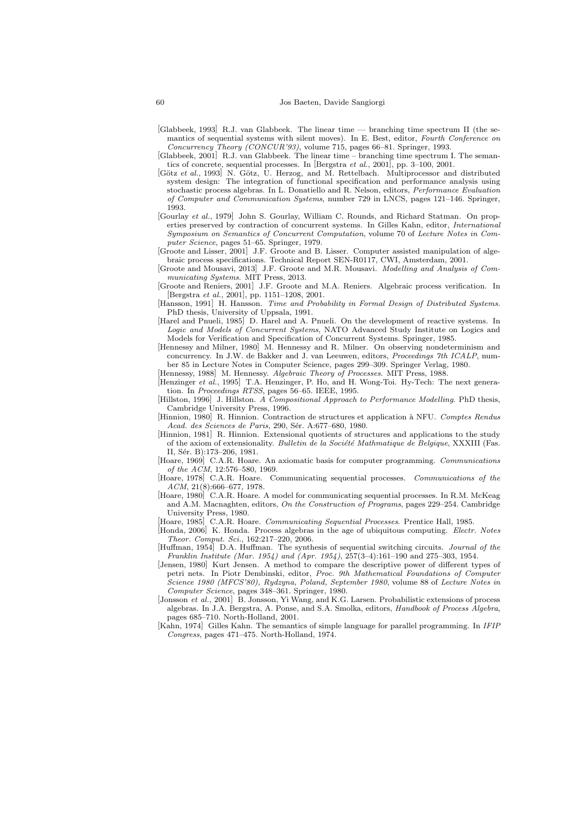#### 60 Jos Baeten, Davide Sangiorgi

- [Glabbeek, 1993] R.J. van Glabbeek. The linear time branching time spectrum II (the semantics of sequential systems with silent moves). In E. Best, editor, *Fourth Conference on Concurrency Theory (CONCUR'93)*, volume 715, pages 66–81. Springer, 1993.
- [Glabbeek, 2001] R.J. van Glabbeek. The linear time branching time spectrum I. The semantics of concrete, sequential processes. In [Bergstra *et al.*, 2001], pp. 3–100, 2001.
- [Götz et al., 1993] N. Götz, U. Herzog, and M. Rettelbach. Multiprocessor and distributed system design: The integration of functional specification and performance analysis using stochastic process algebras. In L. Donatiello and R. Nelson, editors, *Performance Evaluation of Computer and Communication Systems*, number 729 in LNCS, pages 121–146. Springer, 1993.
- [Gourlay *et al.*, 1979] John S. Gourlay, William C. Rounds, and Richard Statman. On properties preserved by contraction of concurrent systems. In Gilles Kahn, editor, *International Symposium on Semantics of Concurrent Computation*, volume 70 of *Lecture Notes in Computer Science*, pages 51–65. Springer, 1979.
- [Groote and Lisser, 2001] J.F. Groote and B. Lisser. Computer assisted manipulation of algebraic process specifications. Technical Report SEN-R0117, CWI, Amsterdam, 2001.
- [Groote and Mousavi, 2013] J.F. Groote and M.R. Mousavi. *Modelling and Analysis of Communicating Systems*. MIT Press, 2013.
- [Groote and Reniers, 2001] J.F. Groote and M.A. Reniers. Algebraic process verification. In [Bergstra *et al.*, 2001], pp. 1151–1208, 2001.
- [Hansson, 1991] H. Hansson. *Time and Probability in Formal Design of Distributed Systems*. PhD thesis, University of Uppsala, 1991.
- [Harel and Pnueli, 1985] D. Harel and A. Pnueli. On the development of reactive systems. In *Logic and Models of Concurrent Systems*, NATO Advanced Study Institute on Logics and Models for Verification and Specification of Concurrent Systems. Springer, 1985.
- [Hennessy and Milner, 1980] M. Hennessy and R. Milner. On observing nondeterminism and concurrency. In J.W. de Bakker and J. van Leeuwen, editors, *Proceedings 7th ICALP*, number 85 in Lecture Notes in Computer Science, pages 299–309. Springer Verlag, 1980.

[Hennessy, 1988] M. Hennessy. *Algebraic Theory of Processes*. MIT Press, 1988.

- [Henzinger *et al.*, 1995] T.A. Henzinger, P. Ho, and H. Wong-Toi. Hy-Tech: The next generation. In *Proceedings RTSS*, pages 56–65. IEEE, 1995.
- [Hillston, 1996] J. Hillston. *A Compositional Approach to Performance Modelling*. PhD thesis, Cambridge University Press, 1996.
- [Hinnion, 1980] R. Hinnion. Contraction de structures et application `a NFU. *Comptes Rendus Acad. des Sciences de Paris*, 290, Sér. A:677–680, 1980.
- [Hinnion, 1981] R. Hinnion. Extensional quotients of structures and applications to the study of the axiom of extensionality. *Bulletin de la Société Mathmatique de Belgique*, XXXIII (Fas. II, Sér. B):173-206, 1981.
- [Hoare, 1969] C.A.R. Hoare. An axiomatic basis for computer programming. *Communications of the ACM*, 12:576–580, 1969.
- [Hoare, 1978] C.A.R. Hoare. Communicating sequential processes. *Communications of the ACM*, 21(8):666–677, 1978.
- [Hoare, 1980] C.A.R. Hoare. A model for communicating sequential processes. In R.M. McKeag and A.M. Macnaghten, editors, *On the Construction of Programs*, pages 229–254. Cambridge University Press, 1980.
- [Hoare, 1985] C.A.R. Hoare. *Communicating Sequential Processes*. Prentice Hall, 1985.
- [Honda, 2006] K. Honda. Process algebras in the age of ubiquitous computing. *Electr. Notes Theor. Comput. Sci.*, 162:217–220, 2006.
- [Huffman, 1954] D.A. Huffman. The synthesis of sequential switching circuits. *Journal of the Franklin Institute (Mar. 1954) and (Apr. 1954)*, 257(3–4):161–190 and 275–303, 1954.
- [Jensen, 1980] Kurt Jensen. A method to compare the descriptive power of different types of petri nets. In Piotr Dembinski, editor, *Proc. 9th Mathematical Foundations of Computer Science 1980 (MFCS'80), Rydzyna, Poland, September 1980*, volume 88 of *Lecture Notes in Computer Science*, pages 348–361. Springer, 1980.
- [Jonsson *et al.*, 2001] B. Jonsson, Yi Wang, and K.G. Larsen. Probabilistic extensions of process algebras. In J.A. Bergstra, A. Ponse, and S.A. Smolka, editors, *Handbook of Process Algebra*, pages 685–710. North-Holland, 2001.
- [Kahn, 1974] Gilles Kahn. The semantics of simple language for parallel programming. In *IFIP Congress*, pages 471–475. North-Holland, 1974.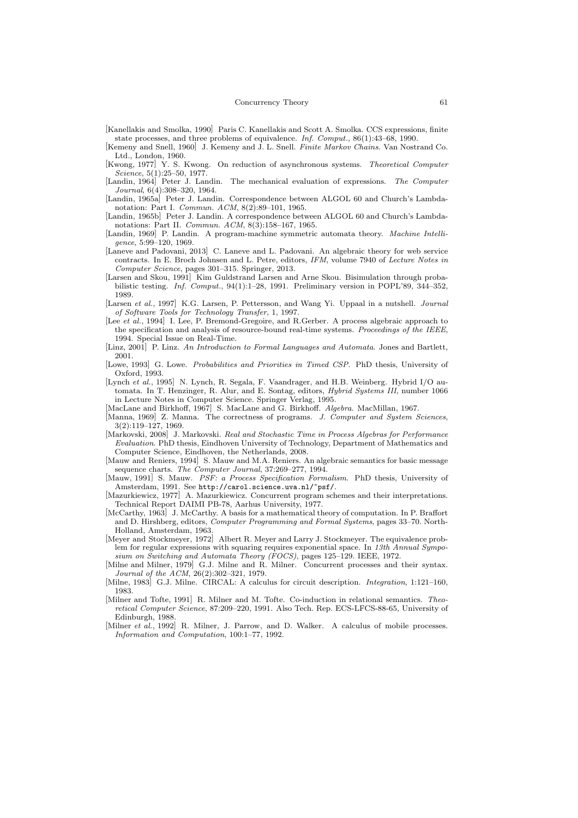[Kanellakis and Smolka, 1990] Paris C. Kanellakis and Scott A. Smolka. CCS expressions, finite state processes, and three problems of equivalence. *Inf. Comput.*, 86(1):43–68, 1990.

- [Kemeny and Snell, 1960] J. Kemeny and J. L. Snell. *Finite Markov Chains*. Van Nostrand Co. Ltd., London, 1960.
- [Kwong, 1977] Y. S. Kwong. On reduction of asynchronous systems. *Theoretical Computer Science*, 5(1):25–50, 1977.
- [Landin, 1964] Peter J. Landin. The mechanical evaluation of expressions. *The Computer Journal*, 6(4):308–320, 1964.
- [Landin, 1965a] Peter J. Landin. Correspondence between ALGOL 60 and Church's Lambdanotation: Part I. *Commun. ACM*, 8(2):89–101, 1965.
- [Landin, 1965b] Peter J. Landin. A correspondence between ALGOL 60 and Church's Lambdanotations: Part II. *Commun. ACM*, 8(3):158–167, 1965.
- [Landin, 1969] P. Landin. A program-machine symmetric automata theory. *Machine Intelligence*, 5:99–120, 1969.
- [Laneve and Padovani, 2013] C. Laneve and L. Padovani. An algebraic theory for web service contracts. In E. Broch Johnsen and L. Petre, editors, *IFM*, volume 7940 of *Lecture Notes in Computer Science*, pages 301–315. Springer, 2013.
- [Larsen and Skou, 1991] Kim Guldstrand Larsen and Arne Skou. Bisimulation through probabilistic testing. *Inf. Comput.*, 94(1):1–28, 1991. Preliminary version in POPL'89, 344–352, 1989.
- [Larsen *et al.*, 1997] K.G. Larsen, P. Pettersson, and Wang Yi. Uppaal in a nutshell. *Journal of Software Tools for Technology Transfer*, 1, 1997.
- [Lee *et al.*, 1994] I. Lee, P. Bremond-Gregoire, and R.Gerber. A process algebraic approach to the specification and analysis of resource-bound real-time systems. *Proceedings of the IEEE*, 1994. Special Issue on Real-Time.
- [Linz, 2001] P. Linz. *An Introduction to Formal Languages and Automata*. Jones and Bartlett, 2001.
- [Lowe, 1993] G. Lowe. *Probabilities and Priorities in Timed CSP*. PhD thesis, University of Oxford, 1993.
- [Lynch *et al.*, 1995] N. Lynch, R. Segala, F. Vaandrager, and H.B. Weinberg. Hybrid I/O automata. In T. Henzinger, R. Alur, and E. Sontag, editors, *Hybrid Systems III*, number 1066 in Lecture Notes in Computer Science. Springer Verlag, 1995.
- [MacLane and Birkhoff, 1967] S. MacLane and G. Birkhoff. *Algebra*. MacMillan, 1967.
- [Manna, 1969] Z. Manna. The correctness of programs. *J. Computer and System Sciences*, 3(2):119–127, 1969. [Markovski, 2008] J. Markovski. *Real and Stochastic Time in Process Algebras for Performance*
- *Evaluation*. PhD thesis, Eindhoven University of Technology, Department of Mathematics and Computer Science, Eindhoven, the Netherlands, 2008.
- [Mauw and Reniers, 1994] S. Mauw and M.A. Reniers. An algebraic semantics for basic message sequence charts. *The Computer Journal*, 37:269–277, 1994.
- [Mauw, 1991] S. Mauw. *PSF: a Process Specification Formalism*. PhD thesis, University of Amsterdam, 1991. See http://carol.science.uva.nl/~psf/.
- [Mazurkiewicz, 1977] A. Mazurkiewicz. Concurrent program schemes and their interpretations. Technical Report DAIMI PB-78, Aarhus University, 1977.
- [McCarthy, 1963] J. McCarthy. A basis for a mathematical theory of computation. In P. Braffort and D. Hirshberg, editors, *Computer Programming and Formal Systems*, pages 33–70. North-Holland, Amsterdam, 1963.
- [Meyer and Stockmeyer, 1972] Albert R. Meyer and Larry J. Stockmeyer. The equivalence problem for regular expressions with squaring requires exponential space. In *13th Annual Symposium on Switching and Automata Theory (FOCS)*, pages 125–129. IEEE, 1972.
- [Milne and Milner, 1979] G.J. Milne and R. Milner. Concurrent processes and their syntax. *Journal of the ACM*, 26(2):302–321, 1979.
- [Milne, 1983] G.J. Milne. CIRCAL: A calculus for circuit description. *Integration*, 1:121–160, 1983.
- [Milner and Tofte, 1991] R. Milner and M. Tofte. Co-induction in relational semantics. *Theoretical Computer Science*, 87:209–220, 1991. Also Tech. Rep. ECS-LFCS-88-65, University of Edinburgh, 1988.
- [Milner *et al.*, 1992] R. Milner, J. Parrow, and D. Walker. A calculus of mobile processes. *Information and Computation*, 100:1–77, 1992.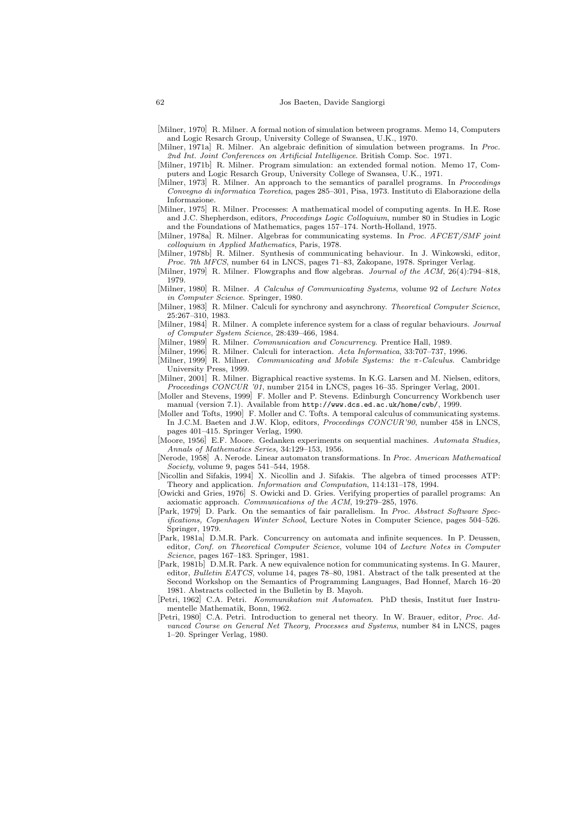- [Milner, 1970] R. Milner. A formal notion of simulation between programs. Memo 14, Computers and Logic Resarch Group, University College of Swansea, U.K., 1970.
- [Milner, 1971a] R. Milner. An algebraic definition of simulation between programs. In *Proc. 2nd Int. Joint Conferences on Artificial Intelligence*. British Comp. Soc. 1971.
- [Milner, 1971b] R. Milner. Program simulation: an extended formal notion. Memo 17, Computers and Logic Resarch Group, University College of Swansea, U.K., 1971.
- [Milner, 1973] R. Milner. An approach to the semantics of parallel programs. In *Proceedings Convegno di informatica Teoretica*, pages 285–301, Pisa, 1973. Instituto di Elaborazione della Informazione.
- [Milner, 1975] R. Milner. Processes: A mathematical model of computing agents. In H.E. Rose and J.C. Shepherdson, editors, *Proceedings Logic Colloquium*, number 80 in Studies in Logic and the Foundations of Mathematics, pages 157–174. North-Holland, 1975.
- [Milner, 1978a] R. Milner. Algebras for communicating systems. In *Proc. AFCET/SMF joint colloquium in Applied Mathematics*, Paris, 1978.
- [Milner, 1978b] R. Milner. Synthesis of communicating behaviour. In J. Winkowski, editor, *Proc. 7th MFCS*, number 64 in LNCS, pages 71–83, Zakopane, 1978. Springer Verlag.
- [Milner, 1979] R. Milner. Flowgraphs and flow algebras. *Journal of the ACM*, 26(4):794–818, 1979.
- [Milner, 1980] R. Milner. *A Calculus of Communicating Systems*, volume 92 of *Lecture Notes in Computer Science*. Springer, 1980.
- [Milner, 1983] R. Milner. Calculi for synchrony and asynchrony. *Theoretical Computer Science*, 25:267–310, 1983.
- [Milner, 1984] R. Milner. A complete inference system for a class of regular behaviours. *Journal of Computer System Science*, 28:439–466, 1984.
- [Milner, 1989] R. Milner. *Communication and Concurrency*. Prentice Hall, 1989.
- [Milner, 1996] R. Milner. Calculi for interaction. *Acta Informatica*, 33:707–737, 1996.
- [Milner, 1999] R. Milner. *Communicating and Mobile Systems: the* π*-Calculus*. Cambridge University Press, 1999.
- [Milner, 2001] R. Milner. Bigraphical reactive systems. In K.G. Larsen and M. Nielsen, editors, *Proceedings CONCUR '01*, number 2154 in LNCS, pages 16–35. Springer Verlag, 2001.
- [Moller and Stevens, 1999] F. Moller and P. Stevens. Edinburgh Concurrency Workbench user manual (version 7.1). Available from http://www.dcs.ed.ac.uk/home/cwb/, 1999.
- [Moller and Tofts, 1990] F. Moller and C. Tofts. A temporal calculus of communicating systems. In J.C.M. Baeten and J.W. Klop, editors, *Proceedings CONCUR'90*, number 458 in LNCS, pages 401–415. Springer Verlag, 1990.
- [Moore, 1956] E.F. Moore. Gedanken experiments on sequential machines. *Automata Studies, Annals of Mathematics Series*, 34:129–153, 1956.
- [Nerode, 1958] A. Nerode. Linear automaton transformations. In *Proc. American Mathematical Society*, volume 9, pages 541–544, 1958.
- [Nicollin and Sifakis, 1994] X. Nicollin and J. Sifakis. The algebra of timed processes ATP: Theory and application. *Information and Computation*, 114:131–178, 1994.
- [Owicki and Gries, 1976] S. Owicki and D. Gries. Verifying properties of parallel programs: An axiomatic approach. *Communications of the ACM*, 19:279–285, 1976.
- [Park, 1979] D. Park. On the semantics of fair parallelism. In *Proc. Abstract Software Specifications, Copenhagen Winter School*, Lecture Notes in Computer Science, pages 504–526. Springer, 1979.
- [Park, 1981a] D.M.R. Park. Concurrency on automata and infinite sequences. In P. Deussen, editor, *Conf. on Theoretical Computer Science*, volume 104 of *Lecture Notes in Computer Science*, pages 167–183. Springer, 1981.
- [Park, 1981b] D.M.R. Park. A new equivalence notion for communicating systems. In G. Maurer, editor, *Bulletin EATCS*, volume 14, pages 78–80, 1981. Abstract of the talk presented at the Second Workshop on the Semantics of Programming Languages, Bad Honnef, March 16–20 1981. Abstracts collected in the Bulletin by B. Mayoh.
- [Petri, 1962] C.A. Petri. *Kommunikation mit Automaten*. PhD thesis, Institut fuer Instrumentelle Mathematik, Bonn, 1962.
- [Petri, 1980] C.A. Petri. Introduction to general net theory. In W. Brauer, editor, *Proc. Advanced Course on General Net Theory, Processes and Systems*, number 84 in LNCS, pages 1–20. Springer Verlag, 1980.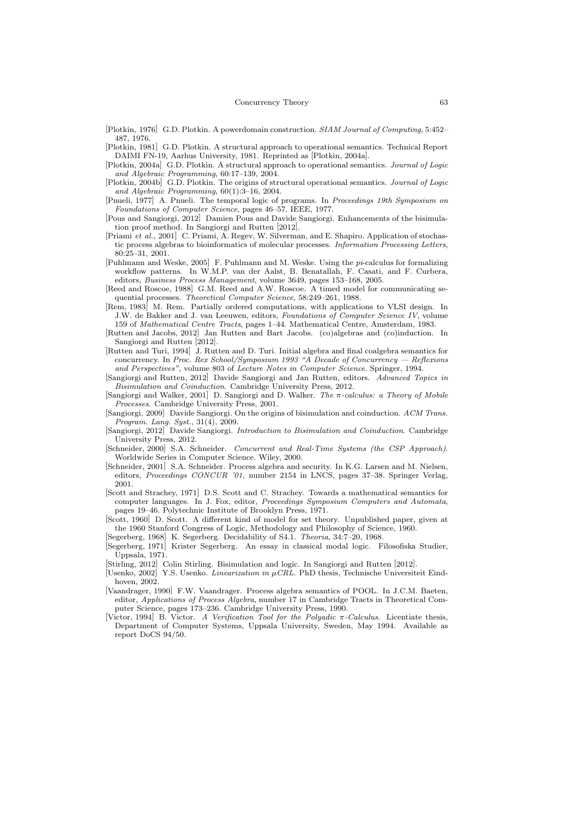- [Plotkin, 1976] G.D. Plotkin. A powerdomain construction. *SIAM Journal of Computing*, 5:452– 487, 1976.
- [Plotkin, 1981] G.D. Plotkin. A structural approach to operational semantics. Technical Report DAIMI FN-19, Aarhus University, 1981. Reprinted as [Plotkin, 2004a].
- [Plotkin, 2004a] G.D. Plotkin. A structural approach to operational semantics. *Journal of Logic and Algebraic Programming*, 60:17–139, 2004.
- [Plotkin, 2004b] G.D. Plotkin. The origins of structural operational semantics. *Journal of Logic and Algebraic Programming*, 60(1):3–16, 2004.
- [Pnueli, 1977] A. Pnueli. The temporal logic of programs. In *Proceedings 19th Symposium on Foundations of Computer Science*, pages 46–57. IEEE, 1977.
- [Pous and Sangiorgi, 2012] Damien Pous and Davide Sangiorgi. Enhancements of the bisimulation proof method. In Sangiorgi and Rutten [2012].
- [Priami *et al.*, 2001] C. Priami, A. Regev, W. Silverman, and E. Shapiro. Application of stochastic process algebras to bioinformatics of molecular processes. *Information Processing Letters*, 80:25–31, 2001.
- [Puhlmann and Weske, 2005] F. Puhlmann and M. Weske. Using the *pi*-calculus for formalizing workflow patterns. In W.M.P. van der Aalst, B. Benatallah, F. Casati, and F. Curbera, editors, *Business Process Management*, volume 3649, pages 153–168, 2005.
- [Reed and Roscoe, 1988] G.M. Reed and A.W. Roscoe. A timed model for communicating sequential processes. *Theoretical Computer Science*, 58:249–261, 1988.
- [Rem, 1983] M. Rem. Partially ordered computations, with applications to VLSI design. In J.W. de Bakker and J. van Leeuwen, editors, *Foundations of Computer Science IV*, volume 159 of *Mathematical Centre Tracts*, pages 1–44. Mathematical Centre, Amsterdam, 1983.
- [Rutten and Jacobs, 2012] Jan Rutten and Bart Jacobs. (co)algebras and (co)induction. In Sangiorgi and Rutten [2012].
- [Rutten and Turi, 1994] J. Rutten and D. Turi. Initial algebra and final coalgebra semantics for concurrency. In *Proc. Rex School/Symposium 1993 "A Decade of Concurrency — Reflexions and Perspectives"*, volume 803 of *Lecture Notes in Computer Science*. Springer, 1994.
- [Sangiorgi and Rutten, 2012] Davide Sangiorgi and Jan Rutten, editors. *Advanced Topics in Bisimulation and Coinduction*. Cambridge University Press, 2012.
- [Sangiorgi and Walker, 2001] D. Sangiorgi and D. Walker. *The* π*-calculus: a Theory of Mobile Processes*. Cambridge University Press, 2001.
- [Sangiorgi, 2009] Davide Sangiorgi. On the origins of bisimulation and coinduction. *ACM Trans. Program. Lang. Syst.*, 31(4), 2009.
- [Sangiorgi, 2012] Davide Sangiorgi. *Introduction to Bisimulation and Coinduction*. Cambridge University Press, 2012.
- [Schneider, 2000] S.A. Schneider. *Concurrent and Real-Time Systems (the CSP Approach)*. Worldwide Series in Computer Science. Wiley, 2000.
- [Schneider, 2001] S.A. Schneider. Process algebra and security. In K.G. Larsen and M. Nielsen, editors, *Proceedings CONCUR '01*, number 2154 in LNCS, pages 37–38. Springer Verlag, 2001.
- [Scott and Strachey, 1971] D.S. Scott and C. Strachey. Towards a mathematical semantics for computer languages. In J. Fox, editor, *Proceedings Symposium Computers and Automata*, pages 19–46. Polytechnic Institute of Brooklyn Press, 1971.
- [Scott, 1960] D. Scott. A different kind of model for set theory. Unpublished paper, given at the 1960 Stanford Congress of Logic, Methodology and Philosophy of Science, 1960. [Segerberg, 1968] K. Segerberg. Decidability of S4.1. *Theoria*, 34:7–20, 1968.
- [Segerberg, 1971] Krister Segerberg. An essay in classical modal logic. Filosofiska Studier, Uppsala, 1971.
- [Stirling, 2012] Colin Stirling. Bisimulation and logic. In Sangiorgi and Rutten [2012].
- [Usenko, 2002] Y.S. Usenko. *Linearization in* µ*CRL*. PhD thesis, Technische Universiteit Eindhoven, 2002.
- [Vaandrager, 1990] F.W. Vaandrager. Process algebra semantics of POOL. In J.C.M. Baeten, editor, *Applications of Process Algebra*, number 17 in Cambridge Tracts in Theoretical Computer Science, pages 173–236. Cambridge University Press, 1990.
- [Victor, 1994] B. Victor. *A Verification Tool for the Polyadic* π*-Calculus*. Licentiate thesis, Department of Computer Systems, Uppsala University, Sweden, May 1994. Available as report DoCS 94/50.